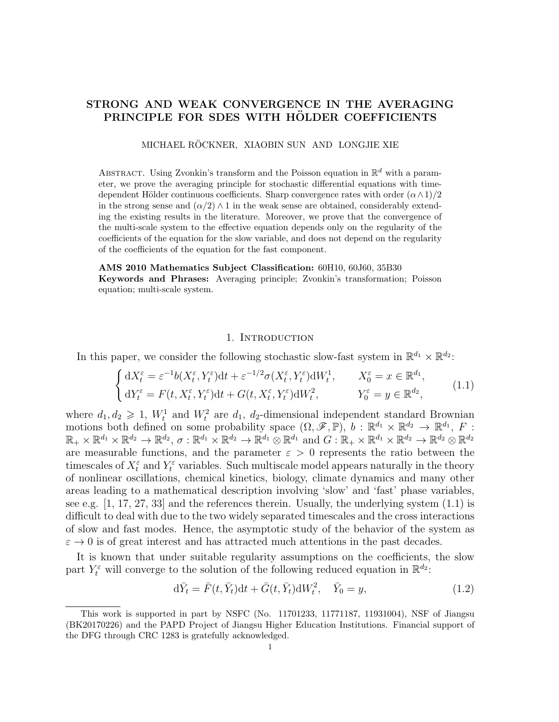# STRONG AND WEAK CONVERGENCE IN THE AVERAGING PRINCIPLE FOR SDES WITH HÖLDER COEFFICIENTS

MICHAEL RÖCKNER, XIAOBIN SUN AND LONGJIE XIE

ABSTRACT. Using Zvonkin's transform and the Poisson equation in  $\mathbb{R}^d$  with a parameter, we prove the averaging principle for stochastic differential equations with timedependent Hölder continuous coefficients. Sharp convergence rates with order  $(\alpha \wedge 1)/2$ in the strong sense and  $(\alpha/2) \wedge 1$  in the weak sense are obtained, considerably extending the existing results in the literature. Moreover, we prove that the convergence of the multi-scale system to the effective equation depends only on the regularity of the coefficients of the equation for the slow variable, and does not depend on the regularity of the coefficients of the equation for the fast component.

AMS 2010 Mathematics Subject Classification: 60H10, 60J60, 35B30 Keywords and Phrases: Averaging principle; Zvonkin's transformation; Poisson equation; multi-scale system.

### 1. INTRODUCTION

In this paper, we consider the following stochastic slow-fast system in  $\mathbb{R}^{d_1} \times \mathbb{R}^{d_2}$ :

$$
\begin{cases} dX_t^{\varepsilon} = \varepsilon^{-1} b(X_t^{\varepsilon}, Y_t^{\varepsilon}) dt + \varepsilon^{-1/2} \sigma(X_t^{\varepsilon}, Y_t^{\varepsilon}) dW_t^1, & X_0^{\varepsilon} = x \in \mathbb{R}^{d_1}, \\ dY_t^{\varepsilon} = F(t, X_t^{\varepsilon}, Y_t^{\varepsilon}) dt + G(t, X_t^{\varepsilon}, Y_t^{\varepsilon}) dW_t^2, & Y_0^{\varepsilon} = y \in \mathbb{R}^{d_2}, \end{cases}
$$
(1.1)

where  $d_1, d_2 \geq 1$ ,  $W_t^1$  and  $W_t^2$  are  $d_1, d_2$ -dimensional independent standard Brownian motions both defined on some probability space  $(\Omega, \mathscr{F}, \mathbb{P})$ ,  $b : \mathbb{R}^{d_1} \times \mathbb{R}^{d_2} \to \mathbb{R}^{d_1}$ ,  $F$ :  $\mathbb{R}_+ \times \mathbb{R}^{d_1} \times \mathbb{R}^{d_2} \to \mathbb{R}^{d_2}, \sigma: \mathbb{R}^{d_1} \times \mathbb{R}^{d_2} \to \mathbb{R}^{d_1} \otimes \mathbb{R}^{d_1} \text{ and } G: \mathbb{R}_+ \times \mathbb{R}^{d_1} \times \mathbb{R}^{d_2} \to \mathbb{R}^{d_2} \otimes \mathbb{R}^{d_2}$ are measurable functions, and the parameter  $\varepsilon > 0$  represents the ratio between the timescales of  $X_t^{\varepsilon}$  and  $Y_t^{\varepsilon}$  variables. Such multiscale model appears naturally in the theory of nonlinear oscillations, chemical kinetics, biology, climate dynamics and many other areas leading to a mathematical description involving 'slow' and 'fast' phase variables, see e.g.  $[1, 17, 27, 33]$  and the references therein. Usually, the underlying system  $(1.1)$  is difficult to deal with due to the two widely separated timescales and the cross interactions of slow and fast modes. Hence, the asymptotic study of the behavior of the system as  $\varepsilon \to 0$  is of great interest and has attracted much attentions in the past decades.

It is known that under suitable regularity assumptions on the coefficients, the slow part  $Y_t^{\varepsilon}$  will converge to the solution of the following reduced equation in  $\mathbb{R}^{d_2}$ :

$$
\mathrm{d}\bar{Y}_t = \bar{F}(t, \bar{Y}_t)\mathrm{d}t + \bar{G}(t, \bar{Y}_t)\mathrm{d}W_t^2, \quad \bar{Y}_0 = y,\tag{1.2}
$$

This work is supported in part by NSFC (No. 11701233, 11771187, 11931004), NSF of Jiangsu (BK20170226) and the PAPD Project of Jiangsu Higher Education Institutions. Financial support of the DFG through CRC 1283 is gratefully acknowledged.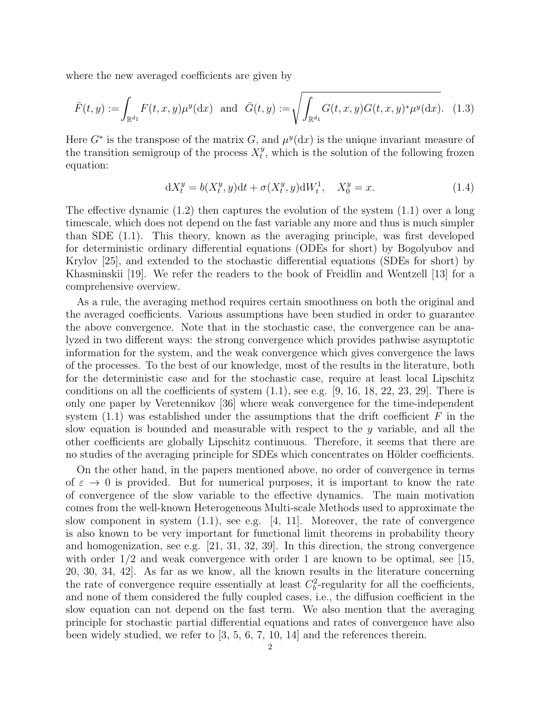where the new averaged coefficients are given by

$$
\bar{F}(t,y) := \int_{\mathbb{R}^{d_1}} F(t,x,y) \mu^y(\mathrm{d}x) \text{ and } \bar{G}(t,y) := \sqrt{\int_{\mathbb{R}^{d_1}} G(t,x,y) G(t,x,y)^* \mu^y(\mathrm{d}x)}. (1.3)
$$

Here  $G^*$  is the transpose of the matrix G, and  $\mu^y(\mathrm{d}x)$  is the unique invariant measure of the transition semigroup of the process  $X_t^y$  $t<sup>y</sup>$ , which is the solution of the following frozen equation:

$$
dX_t^y = b(X_t^y, y)dt + \sigma(X_t^y, y)dW_t^1, \quad X_0^y = x.
$$
\n(1.4)

The effective dynamic (1.2) then captures the evolution of the system (1.1) over a long timescale, which does not depend on the fast variable any more and thus is much simpler than SDE (1.1). This theory, known as the averaging principle, was first developed for deterministic ordinary differential equations (ODEs for short) by Bogolyubov and Krylov [25], and extended to the stochastic differential equations (SDEs for short) by Khasminskii [19]. We refer the readers to the book of Freidlin and Wentzell [13] for a comprehensive overview.

As a rule, the averaging method requires certain smoothness on both the original and the averaged coefficients. Various assumptions have been studied in order to guarantee the above convergence. Note that in the stochastic case, the convergence can be analyzed in two different ways: the strong convergence which provides pathwise asymptotic information for the system, and the weak convergence which gives convergence the laws of the processes. To the best of our knowledge, most of the results in the literature, both for the deterministic case and for the stochastic case, require at least local Lipschitz conditions on all the coefficients of system  $(1.1)$ , see e.g.  $[9, 16, 18, 22, 23, 29]$ . There is only one paper by Veretennikov [36] where weak convergence for the time-independent system  $(1.1)$  was established under the assumptions that the drift coefficient F in the slow equation is bounded and measurable with respect to the y variable, and all the other coefficients are globally Lipschitz continuous. Therefore, it seems that there are no studies of the averaging principle for SDEs which concentrates on Hölder coefficients.

On the other hand, in the papers mentioned above, no order of convergence in terms of  $\varepsilon \to 0$  is provided. But for numerical purposes, it is important to know the rate of convergence of the slow variable to the effective dynamics. The main motivation comes from the well-known Heterogeneous Multi-scale Methods used to approximate the slow component in system (1.1), see e.g. [4, 11]. Moreover, the rate of convergence is also known to be very important for functional limit theorems in probability theory and homogenization, see e.g. [21, 31, 32, 39]. In this direction, the strong convergence with order  $1/2$  and weak convergence with order 1 are known to be optimal, see [15, 20, 30, 34, 42]. As far as we know, all the known results in the literature concerning the rate of convergence require essentially at least  $C_b^2$ -regularity for all the coefficients, and none of them considered the fully coupled cases, i.e., the diffusion coefficient in the slow equation can not depend on the fast term. We also mention that the averaging principle for stochastic partial differential equations and rates of convergence have also been widely studied, we refer to [3, 5, 6, 7, 10, 14] and the references therein.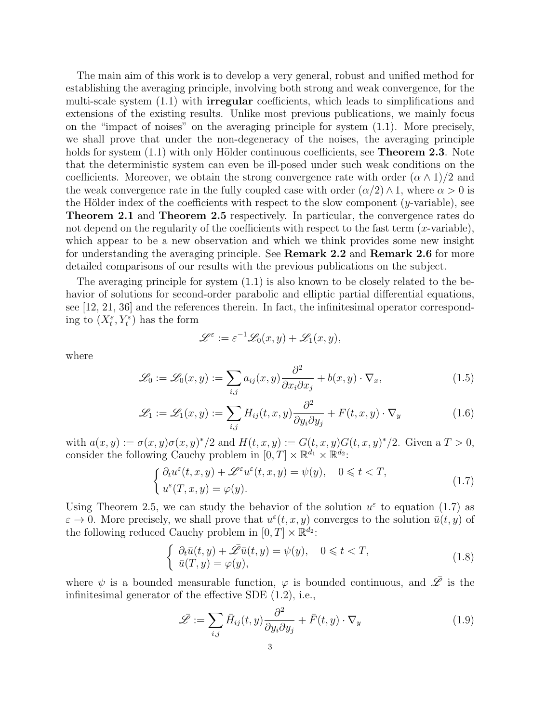The main aim of this work is to develop a very general, robust and unified method for establishing the averaging principle, involving both strong and weak convergence, for the multi-scale system (1.1) with irregular coefficients, which leads to simplifications and extensions of the existing results. Unlike most previous publications, we mainly focus on the "impact of noises" on the averaging principle for system (1.1). More precisely, we shall prove that under the non-degeneracy of the noises, the averaging principle holds for system  $(1.1)$  with only Hölder continuous coefficients, see **Theorem 2.3**. Note that the deterministic system can even be ill-posed under such weak conditions on the coefficients. Moreover, we obtain the strong convergence rate with order  $(\alpha \wedge 1)/2$  and the weak convergence rate in the fully coupled case with order  $(\alpha/2) \wedge 1$ , where  $\alpha > 0$  is the Hölder index of the coefficients with respect to the slow component  $(y$ -variable), see Theorem 2.1 and Theorem 2.5 respectively. In particular, the convergence rates do not depend on the regularity of the coefficients with respect to the fast term  $(x$ -variable), which appear to be a new observation and which we think provides some new insight for understanding the averaging principle. See Remark 2.2 and Remark 2.6 for more detailed comparisons of our results with the previous publications on the subject.

The averaging principle for system (1.1) is also known to be closely related to the behavior of solutions for second-order parabolic and elliptic partial differential equations, see [12, 21, 36] and the references therein. In fact, the infinitesimal operator corresponding to  $(X_t^{\varepsilon}, Y_t^{\varepsilon})$  has the form

$$
\mathscr{L}^\varepsilon := \varepsilon^{-1} \mathscr{L}_0(x, y) + \mathscr{L}_1(x, y),
$$

where

$$
\mathcal{L}_0 := \mathcal{L}_0(x, y) := \sum_{i,j} a_{ij}(x, y) \frac{\partial^2}{\partial x_i \partial x_j} + b(x, y) \cdot \nabla_x, \tag{1.5}
$$

$$
\mathcal{L}_1 := \mathcal{L}_1(x, y) := \sum_{i,j} H_{ij}(t, x, y) \frac{\partial^2}{\partial y_i \partial y_j} + F(t, x, y) \cdot \nabla_y \tag{1.6}
$$

with  $a(x, y) := \sigma(x, y)\sigma(x, y)^*/2$  and  $H(t, x, y) := G(t, x, y)G(t, x, y)^*/2$ . Given a  $T > 0$ , consider the following Cauchy problem in  $[0, T] \times \mathbb{R}^{d_1} \times \mathbb{R}^{d_2}$ :

$$
\begin{cases} \partial_t u^{\varepsilon}(t, x, y) + \mathscr{L}^{\varepsilon} u^{\varepsilon}(t, x, y) = \psi(y), & 0 \leq t < T, \\ u^{\varepsilon}(T, x, y) = \varphi(y). \end{cases}
$$
\n(1.7)

Using Theorem 2.5, we can study the behavior of the solution  $u^{\varepsilon}$  to equation (1.7) as  $\varepsilon \to 0$ . More precisely, we shall prove that  $u^{\varepsilon}(t, x, y)$  converges to the solution  $\bar{u}(t, y)$  of the following reduced Cauchy problem in  $[0, T] \times \mathbb{R}^{d_2}$ :

$$
\begin{cases}\n\partial_t \bar{u}(t, y) + \bar{\mathscr{L}} \bar{u}(t, y) = \psi(y), & 0 \leq t < T, \\
\bar{u}(T, y) = \varphi(y), & (1.8)\n\end{cases}
$$

where  $\psi$  is a bounded measurable function,  $\varphi$  is bounded continuous, and  $\overline{\mathscr{L}}$  is the infinitesimal generator of the effective SDE (1.2), i.e.,

$$
\bar{\mathscr{L}} := \sum_{i,j} \bar{H}_{ij}(t,y) \frac{\partial^2}{\partial y_i \partial y_j} + \bar{F}(t,y) \cdot \nabla_y \tag{1.9}
$$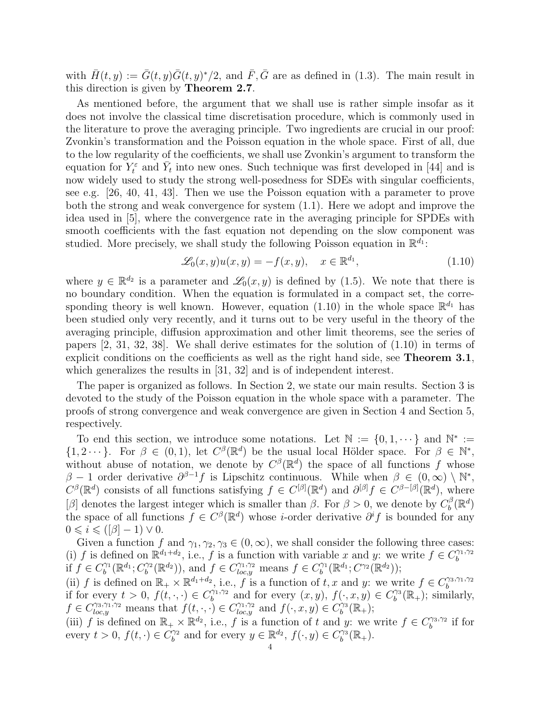with  $\bar{H}(t, y) := \bar{G}(t, y)\bar{G}(t, y)^*/2$ , and  $\bar{F}, \bar{G}$  are as defined in (1.3). The main result in this direction is given by Theorem 2.7.

As mentioned before, the argument that we shall use is rather simple insofar as it does not involve the classical time discretisation procedure, which is commonly used in the literature to prove the averaging principle. Two ingredients are crucial in our proof: Zvonkin's transformation and the Poisson equation in the whole space. First of all, due to the low regularity of the coefficients, we shall use Zvonkin's argument to transform the equation for  $Y_t^{\varepsilon}$  and  $\bar{Y}_t$  into new ones. Such technique was first developed in [44] and is now widely used to study the strong well-posedness for SDEs with singular coefficients, see e.g. [26, 40, 41, 43]. Then we use the Poisson equation with a parameter to prove both the strong and weak convergence for system (1.1). Here we adopt and improve the idea used in [5], where the convergence rate in the averaging principle for SPDEs with smooth coefficients with the fast equation not depending on the slow component was studied. More precisely, we shall study the following Poisson equation in  $\mathbb{R}^{d_1}$ :

$$
\mathcal{L}_0(x, y)u(x, y) = -f(x, y), \quad x \in \mathbb{R}^{d_1},\tag{1.10}
$$

where  $y \in \mathbb{R}^{d_2}$  is a parameter and  $\mathscr{L}_0(x, y)$  is defined by (1.5). We note that there is no boundary condition. When the equation is formulated in a compact set, the corresponding theory is well known. However, equation (1.10) in the whole space  $\mathbb{R}^{d_1}$  has been studied only very recently, and it turns out to be very useful in the theory of the averaging principle, diffusion approximation and other limit theorems, see the series of papers [2, 31, 32, 38]. We shall derive estimates for the solution of (1.10) in terms of explicit conditions on the coefficients as well as the right hand side, see **Theorem 3.1**, which generalizes the results in [31, 32] and is of independent interest.

The paper is organized as follows. In Section 2, we state our main results. Section 3 is devoted to the study of the Poisson equation in the whole space with a parameter. The proofs of strong convergence and weak convergence are given in Section 4 and Section 5, respectively.

To end this section, we introduce some notations. Let  $\mathbb{N} := \{0, 1, \dots\}$  and  $\mathbb{N}^* :=$  $\{1, 2 \cdots\}$ . For  $\beta \in (0, 1)$ , let  $C^{\beta}(\mathbb{R}^d)$  be the usual local Hölder space. For  $\beta \in \mathbb{N}^*$ , without abuse of notation, we denote by  $C^{\beta}(\mathbb{R}^d)$  the space of all functions f whose  $\beta - 1$  order derivative  $\partial^{\beta-1} f$  is Lipschitz continuous. While when  $\beta \in (0, \infty) \setminus \mathbb{N}^*$ ,  $C^{\beta}(\mathbb{R}^d)$  consists of all functions satisfying  $f \in C^{[\beta]}(\mathbb{R}^d)$  and  $\partial^{[\beta]}f \in C^{\beta-[\beta]}(\mathbb{R}^d)$ , where  $[β]$  denotes the largest integer which is smaller than  $β$ . For  $β > 0$ , we denote by  $C<sub>b</sub><sup>β</sup>$  $\mathcal{C}_b^\beta(\mathbb{R}^d)$ the space of all functions  $\tilde{f} \in C^{\beta}(\mathbb{R}^d)$  whose *i*-order derivative  $\partial^i f$  is bounded for any  $0 \leq i \leq (\lbrack \beta \rbrack - 1) \vee 0.$ 

Given a function f and  $\gamma_1, \gamma_2, \gamma_3 \in (0, \infty)$ , we shall consider the following three cases: (i) f is defined on  $\mathbb{R}^{d_1+d_2}$ , i.e., f is a function with variable x and y: we write  $f \in C_h^{\gamma_1,\gamma_2}$ if  $f \in C_b^{\gamma_1}(\mathbb{R}^{d_1}; C_b^{\gamma_2}(\mathbb{R}^{d_2}))$ , and  $f \in C_{loc}^{\gamma_1, \gamma_2}$  means  $f \in C_b^{\gamma_1}(\mathbb{R}^{d_1}; C^{\gamma_2}(\mathbb{R}^{d_2}))$ ;  $\mathcal{C}_b^{\gamma_1}(\mathbb{R}^{d_1}; C_b^{\gamma_2})$  $\mathcal{O}_b^{\gamma_2}(\mathbb{R}^{d_2})$ , and  $f \in C_{loc,y}^{\gamma_1, \gamma_2}$  means  $f \in C_b^{\gamma_1}$  $\mathcal{C}^{\gamma_1}(\mathbb{R}^{d_1}; C^{\gamma_2}(\mathbb{R}^{d_2}));$ 

(ii) f is defined on  $\mathbb{R}_+ \times \mathbb{R}^{d_1+d_2}$ , i.e., f is a function of t, x and y: we write  $f \in C_b^{\gamma_3, \gamma_1, \gamma_2}$ if for every  $t > 0$ ,  $f(t, \cdot, \cdot) \in C_h^{\gamma_1, \gamma_2}$  and for every  $(x, y)$ ,  $f(\cdot, x, y) \in C_h^{\gamma_3}(\mathbb{R}_+)$ ; sim  $b_1^{\gamma_1,\gamma_2}$  and for every  $(x, y), f(\cdot, x, y) \in C_b^{\gamma_3}$  $b^{\gamma_3}(\mathbb{R}_+);$  similarly,  $f \in C_{loc,y}^{\gamma_3,\gamma_1,\gamma_2}$  means that  $f(t,\cdot,\cdot) \in C_{loc,y}^{\gamma_1,\gamma_2}$  and  $f(\cdot,x,y) \in C_b^{\gamma_3}$  $\hat{b}^{\gamma_3}(\mathbb{R}_+);$ 

(iii) f is defined on  $\mathbb{R}_+ \times \mathbb{R}^{d_2}$ , i.e., f is a function of t and y: we write  $f \in C_b^{\gamma_3, \gamma_2}$  $\int_b^{\gamma_3,\gamma_2}$  if for every  $t > 0$ ,  $f(t, \cdot) \in C_h^{\gamma_2}$  $b^{\gamma_2}$  and for every  $y \in \mathbb{R}^{d_2}$ ,  $f(\cdot, y) \in C_b^{\gamma_3}$  $\int_b^{\gamma_3}(\mathbb{R}_+).$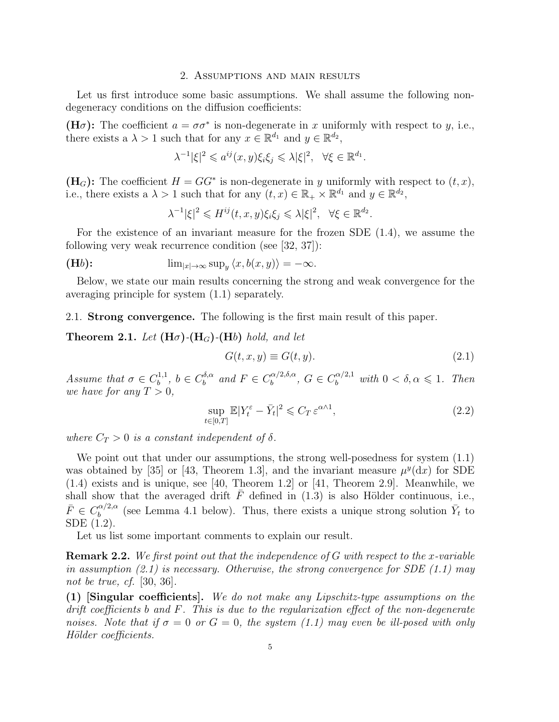#### 2. Assumptions and main results

Let us first introduce some basic assumptions. We shall assume the following nondegeneracy conditions on the diffusion coefficients:

(H $\sigma$ ): The coefficient  $a = \sigma \sigma^*$  is non-degenerate in x uniformly with respect to y, i.e., there exists a  $\lambda > 1$  such that for any  $x \in \mathbb{R}^{d_1}$  and  $y \in \mathbb{R}^{d_2}$ ,

$$
\lambda^{-1}|\xi|^2 \leqslant a^{ij}(x,y)\xi_i\xi_j \leqslant \lambda|\xi|^2, \quad \forall \xi \in \mathbb{R}^{d_1}.
$$

 $(H_G)$ : The coefficient  $H = GG^*$  is non-degenerate in y uniformly with respect to  $(t, x)$ , i.e., there exists a  $\lambda > 1$  such that for any  $(t, x) \in \mathbb{R}_+ \times \mathbb{R}^{d_1}$  and  $y \in \mathbb{R}^{d_2}$ ,

$$
\lambda^{-1}|\xi|^2 \leqslant H^{ij}(t,x,y)\xi_i\xi_j \leqslant \lambda |\xi|^2, \quad \forall \xi \in \mathbb{R}^{d_2}.
$$

For the existence of an invariant measure for the frozen SDE (1.4), we assume the following very weak recurrence condition (see [32, 37]):

(Hb): 
$$
\lim_{|x|\to\infty} \sup_y \langle x, b(x,y) \rangle = -\infty.
$$

Below, we state our main results concerning the strong and weak convergence for the averaging principle for system (1.1) separately.

2.1. Strong convergence. The following is the first main result of this paper.

**Theorem 2.1.** Let  $(H\sigma)$ - $(H_G)$ - $(H_b)$  hold, and let

$$
G(t, x, y) \equiv G(t, y). \tag{2.1}
$$

Assume that  $\sigma \in C_h^{1,1}$  $b^{1,1}, b \in C_b^{\delta,\alpha}$  $b^{\delta,\alpha}$  and  $F \in C_b^{\alpha/2,\delta,\alpha}$  $b_0^{\alpha/2,\delta,\alpha}, G \in C_b^{\alpha/2,1}$  with  $0 < \delta, \alpha \leq 1$ . Then we have for any  $T > 0$ ,

$$
\sup_{t \in [0,T]} \mathbb{E}|Y_t^{\varepsilon} - \bar{Y}_t|^2 \leqslant C_T \, \varepsilon^{\alpha \wedge 1},\tag{2.2}
$$

where  $C_T > 0$  is a constant independent of  $\delta$ .

We point out that under our assumptions, the strong well-posedness for system  $(1.1)$ was obtained by [35] or [43, Theorem 1.3], and the invariant measure  $\mu^{y}(dx)$  for SDE (1.4) exists and is unique, see [40, Theorem 1.2] or [41, Theorem 2.9]. Meanwhile, we shall show that the averaged drift  $\bar{F}$  defined in (1.3) is also Hölder continuous, i.e.,  $\bar{F} \in C_b^{\alpha/2,\alpha}$  $\frac{\partial}{\partial b}^{(\alpha/2,\alpha)}$  (see Lemma 4.1 below). Thus, there exists a unique strong solution  $\bar{Y}_t$  to SDE (1.2).

Let us list some important comments to explain our result.

**Remark 2.2.** We first point out that the independence of G with respect to the x-variable in assumption  $(2.1)$  is necessary. Otherwise, the strong convergence for SDE  $(1.1)$  may not be true, cf. [30, 36].

(1) [Singular coefficients]. We do not make any Lipschitz-type assumptions on the drift coefficients b and F. This is due to the regularization effect of the non-degenerate noises. Note that if  $\sigma = 0$  or  $G = 0$ , the system (1.1) may even be ill-posed with only Hölder coefficients.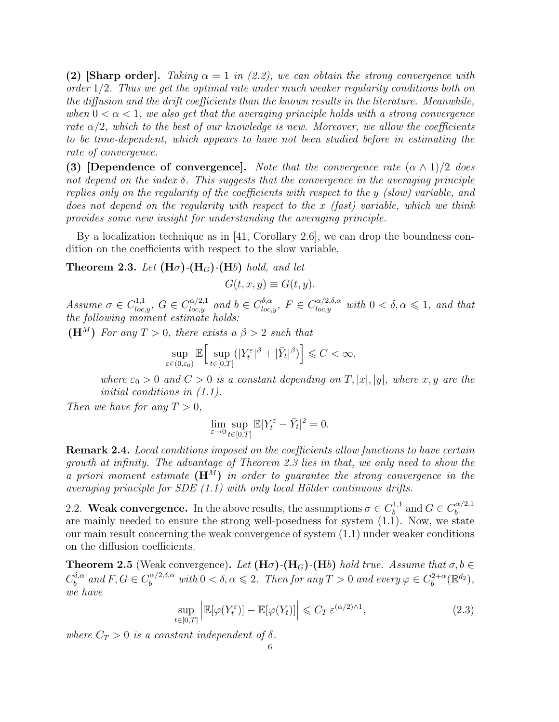(2) [Sharp order]. Taking  $\alpha = 1$  in (2.2), we can obtain the strong convergence with order 1/2. Thus we get the optimal rate under much weaker regularity conditions both on the diffusion and the drift coefficients than the known results in the literature. Meanwhile, when  $0 < \alpha < 1$ , we also get that the averaging principle holds with a strong convergence rate  $\alpha/2$ , which to the best of our knowledge is new. Moreover, we allow the coefficients to be time-dependent, which appears to have not been studied before in estimating the rate of convergence.

(3) [Dependence of convergence]. Note that the convergence rate  $(\alpha \wedge 1)/2$  does not depend on the index  $\delta$ . This suggests that the convergence in the averaging principle replies only on the regularity of the coefficients with respect to the y (slow) variable, and does not depend on the regularity with respect to the x (fast) variable, which we think provides some new insight for understanding the averaging principle.

By a localization technique as in [41, Corollary 2.6], we can drop the boundness condition on the coefficients with respect to the slow variable.

**Theorem 2.3.** Let  $(H\sigma)$ - $(H_G)$ - $(H_b)$  hold, and let

 $G(t, x, y) \equiv G(t, y).$ 

Assume  $\sigma \in C^{1,1}_{loc,y}$ ,  $G \in C^{\alpha/2,1}_{loc,y}$  and  $b \in C^{\delta,\alpha}_{loc,y}$ ,  $F \in C^{\alpha/2,\delta,\alpha}_{loc,y}$  with  $0 < \delta, \alpha \leq 1$ , and that the following moment estimate holds:

(H<sup>M</sup>) For any  $T > 0$ , there exists a  $\beta > 2$  such that

$$
\sup_{\varepsilon \in (0,\varepsilon_0)} \mathbb{E} \Big[ \sup_{t \in [0,T]} (|Y_t^{\varepsilon}|^{\beta} + |\bar{Y}_t|^{\beta}) \Big] \leqslant C < \infty,
$$

where  $\varepsilon_0 > 0$  and  $C > 0$  is a constant depending on T, |x|, |y|, where x, y are the initial conditions in (1.1).

Then we have for any  $T > 0$ ,

$$
\lim_{\varepsilon \to 0} \sup_{t \in [0,T]} \mathbb{E} |Y_t^{\varepsilon} - \bar{Y}_t|^2 = 0.
$$

Remark 2.4. Local conditions imposed on the coefficients allow functions to have certain growth at infinity. The advantage of Theorem 2.3 lies in that, we only need to show the a priori moment estimate  $(H^M)$  in order to guarantee the strong convergence in the averaging principle for  $SDE(1.1)$  with only local Hölder continuous drifts.

2.2. Weak convergence. In the above results, the assumptions  $\sigma \in C_b^{1,1}$  $b^{1,1}$  and  $G \in C_b^{\alpha/2,1}$ b are mainly needed to ensure the strong well-posedness for system (1.1). Now, we state our main result concerning the weak convergence of system (1.1) under weaker conditions on the diffusion coefficients.

**Theorem 2.5** (Weak convergence). Let  $(H\sigma)$ - $(H_G)$ - $(H_b)$  hold true. Assume that  $\sigma, b \in$  $C^{\delta,\alpha}_b$  $\delta^{,\alpha}_b$  and  $F,G\in C^{\alpha/2,\delta,\alpha}_b$  with  $0<\delta,\alpha\leqslant 2$ . Then for any  $T>0$  and every  $\varphi\in C^{2+\alpha}_b$  $b^{2+\alpha}(\mathbb{R}^{d_2}),$ we have

$$
\sup_{t \in [0,T]} \left| \mathbb{E}[\varphi(Y_t^{\varepsilon})] - \mathbb{E}[\varphi(Y_t)] \right| \leqslant C_T \, \varepsilon^{(\alpha/2) \wedge 1},\tag{2.3}
$$

where  $C_T > 0$  is a constant independent of  $\delta$ .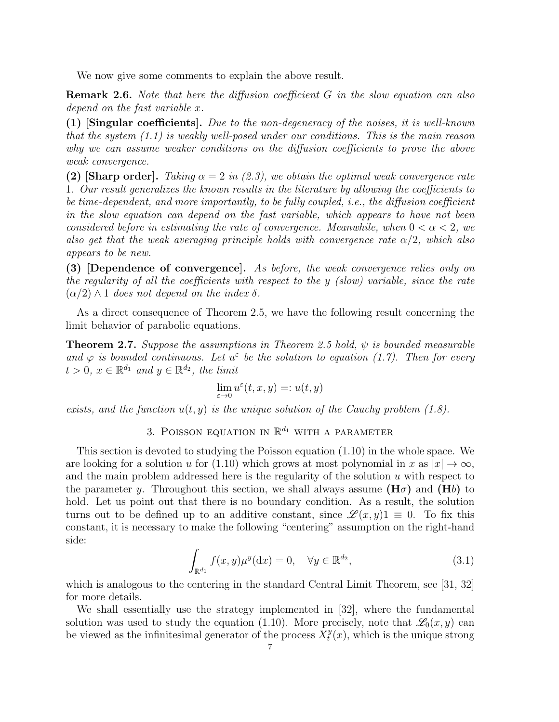We now give some comments to explain the above result.

**Remark 2.6.** Note that here the diffusion coefficient G in the slow equation can also depend on the fast variable x.

(1) [Singular coefficients]. Due to the non-degeneracy of the noises, it is well-known that the system  $(1.1)$  is weakly well-posed under our conditions. This is the main reason why we can assume weaker conditions on the diffusion coefficients to prove the above weak convergence.

(2) [Sharp order]. Taking  $\alpha = 2$  in (2.3), we obtain the optimal weak convergence rate 1. Our result generalizes the known results in the literature by allowing the coefficients to be time-dependent, and more importantly, to be fully coupled, i.e., the diffusion coefficient in the slow equation can depend on the fast variable, which appears to have not been considered before in estimating the rate of convergence. Meanwhile, when  $0 < \alpha < 2$ , we also get that the weak averaging principle holds with convergence rate  $\alpha/2$ , which also appears to be new.

(3) [Dependence of convergence]. As before, the weak convergence relies only on the regularity of all the coefficients with respect to the y (slow) variable, since the rate  $(\alpha/2) \wedge 1$  does not depend on the index  $\delta$ .

As a direct consequence of Theorem 2.5, we have the following result concerning the limit behavior of parabolic equations.

**Theorem 2.7.** Suppose the assumptions in Theorem 2.5 hold,  $\psi$  is bounded measurable and  $\varphi$  is bounded continuous. Let  $u^{\varepsilon}$  be the solution to equation (1.7). Then for every  $t > 0, x \in \mathbb{R}^{d_1}$  and  $y \in \mathbb{R}^{d_2}$ , the limit

$$
\lim_{\varepsilon\to 0}u^\varepsilon(t,x,y)=:u(t,y)
$$

exists, and the function  $u(t, y)$  is the unique solution of the Cauchy problem (1.8).

3. POISSON EQUATION IN  $\mathbb{R}^{d_1}$  with a parameter

This section is devoted to studying the Poisson equation (1.10) in the whole space. We are looking for a solution u for (1.10) which grows at most polynomial in x as  $|x| \to \infty$ , and the main problem addressed here is the regularity of the solution u with respect to the parameter y. Throughout this section, we shall always assume  $(H\sigma)$  and  $(Hb)$  to hold. Let us point out that there is no boundary condition. As a result, the solution turns out to be defined up to an additive constant, since  $\mathscr{L}(x, y)$  = 0. To fix this constant, it is necessary to make the following "centering" assumption on the right-hand side:

$$
\int_{\mathbb{R}^{d_1}} f(x, y) \mu^y(\mathrm{d}x) = 0, \quad \forall y \in \mathbb{R}^{d_2},\tag{3.1}
$$

which is analogous to the centering in the standard Central Limit Theorem, see [31, 32] for more details.

We shall essentially use the strategy implemented in [32], where the fundamental solution was used to study the equation (1.10). More precisely, note that  $\mathscr{L}_0(x, y)$  can be viewed as the infinitesimal generator of the process  $\bar{X}_t^y$  $t^y(x)$ , which is the unique strong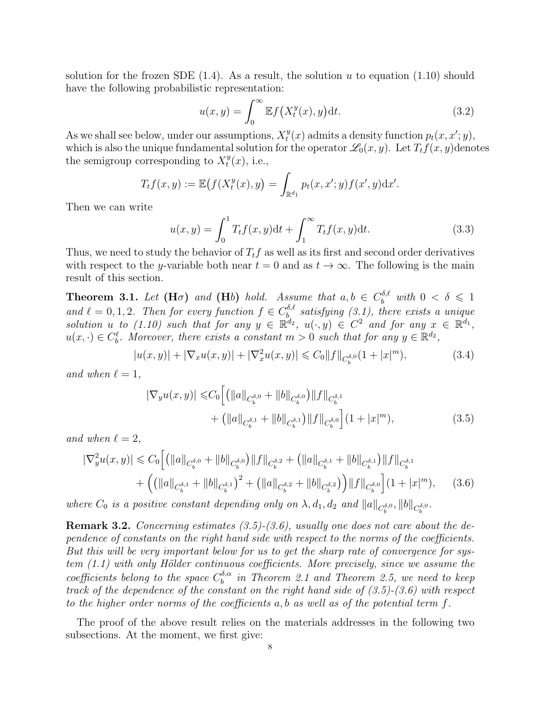solution for the frozen SDE  $(1.4)$ . As a result, the solution u to equation  $(1.10)$  should have the following probabilistic representation:

$$
u(x,y) = \int_0^\infty \mathbb{E}f\left(X_t^y(x),y\right) \mathrm{d}t. \tag{3.2}
$$

As we shall see below, under our assumptions,  $X_t^y$  $t^{y}(x)$  admits a density function  $p_t(x, x'; y)$ , which is also the unique fundamental solution for the operator  $\mathcal{L}_0(x, y)$ . Let  $T_t f(x, y)$  denotes the semigroup corresponding to  $X_t^y$  $u_t^y(x)$ , i.e.,

$$
T_t f(x, y) := \mathbb{E}\big(f(X_t^y(x), y) = \int_{\mathbb{R}^{d_1}} p_t(x, x'; y) f(x', y) \, dx'.
$$

Then we can write

$$
u(x,y) = \int_0^1 T_t f(x,y) dt + \int_1^\infty T_t f(x,y) dt.
$$
 (3.3)

Thus, we need to study the behavior of  $T_t f$  as well as its first and second order derivatives with respect to the y-variable both near  $t = 0$  and as  $t \to \infty$ . The following is the main result of this section.

**Theorem 3.1.** Let  $(H\sigma)$  and  $(Hb)$  hold. Assume that  $a, b \in C_b^{\delta,\ell}$  with  $0 < \delta \leq 1$ and  $\ell = 0, 1, 2$ . Then for every function  $f \in C_b^{\delta, \ell}$  $\mathcal{L}_{b}^{\sigma,\ell}$  satisfying (3.1), there exists a unique solution u to (1.10) such that for any  $y \in \mathbb{R}^{d_2}$ ,  $u(\cdot, y) \in C^2$  and for any  $x \in \mathbb{R}^{d_1}$ ,  $u(x, \cdot) \in C_b^{\ell}$ . Moreover, there exists a constant  $m > 0$  such that for any  $y \in \mathbb{R}^{d_2}$ ,

$$
|u(x,y)| + |\nabla_x u(x,y)| + |\nabla_x^2 u(x,y)| \leq C_0 \|f\|_{C_b^{\delta,0}} (1+|x|^m),\tag{3.4}
$$

and when  $\ell = 1$ ,

$$
|\nabla_y u(x, y)| \leq C_0 \left[ \left( ||a||_{C_b^{\delta, 0}} + ||b||_{C_b^{\delta, 0}} \right) ||f||_{C_b^{\delta, 1}} + \left( ||a||_{C_b^{\delta, 1}} + ||b||_{C_b^{\delta, 1}} \right) ||f||_{C_b^{\delta, 0}} \right] (1 + |x|^m),
$$
\n(3.5)

and when  $\ell = 2,$ 

$$
|\nabla_{y}^{2}u(x,y)| \leq C_{0}\Big[ \left( \left\|a\right\|_{C_{b}^{\delta,0}} + \left\|b\right\|_{C_{b}^{\delta,0}} \right) \left\|f\right\|_{C_{b}^{\delta,2}} + \left( \left\|a\right\|_{C_{b}^{\delta,1}} + \left\|b\right\|_{C_{b}^{\delta,1}} \right) \left\|f\right\|_{C_{b}^{\delta,1}} + \left( \left(\left\|a\right\|_{C_{b}^{\delta,1}} + \left\|b\right\|_{C_{b}^{\delta,1}} \right)^{2} + \left(\left\|a\right\|_{C_{b}^{\delta,2}} + \left\|b\right\|_{C_{b}^{\delta,2}} \right) \right) \left\|f\right\|_{C_{b}^{\delta,0}} \Big] \left(1 + |x|^{m}\right), \tag{3.6}
$$

where  $C_0$  is a positive constant depending only on  $\lambda$ ,  $d_1$ ,  $d_2$  and  $||a||_{C_b^{\delta,0}}$ ,  $||b||_{C_b^{\delta,0}}$ .

**Remark 3.2.** Concerning estimates  $(3.5)-(3.6)$ , usually one does not care about the dependence of constants on the right hand side with respect to the norms of the coefficients. But this will be very important below for us to get the sharp rate of convergence for sys $tem (1.1) with only Hölder continuous coefficients. More precisely, since we assume the$ coefficients belong to the space  $C_b^{\delta,\alpha}$  $\stackrel{o,\alpha}{b}$  in Theorem 2.1 and Theorem 2.5, we need to keep track of the dependence of the constant on the right hand side of  $(3.5)-(3.6)$  with respect to the higher order norms of the coefficients a, b as well as of the potential term  $f$ .

The proof of the above result relies on the materials addresses in the following two subsections. At the moment, we first give: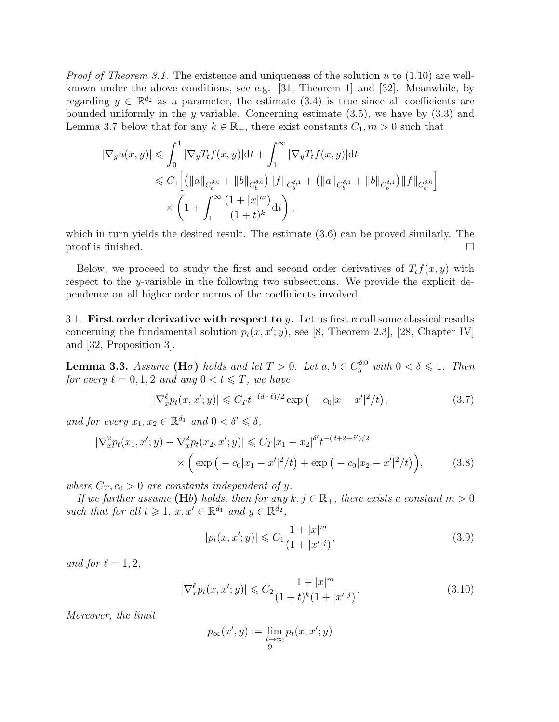*Proof of Theorem 3.1.* The existence and uniqueness of the solution u to  $(1.10)$  are wellknown under the above conditions, see e.g. [31, Theorem 1] and [32]. Meanwhile, by regarding  $y \in \mathbb{R}^{d_2}$  as a parameter, the estimate (3.4) is true since all coefficients are bounded uniformly in the y variable. Concerning estimate  $(3.5)$ , we have by  $(3.3)$  and Lemma 3.7 below that for any  $k \in \mathbb{R}_+$ , there exist constants  $C_1, m > 0$  such that

$$
\begin{aligned} |\nabla_y u(x,y)| &\leqslant \int_0^1 |\nabla_y T_t f(x,y)| \mathrm{d} t + \int_1^\infty |\nabla_y T_t f(x,y)| \mathrm{d} t \\ &\leqslant C_1 \Big[ \big( \|a\|_{C_b^{\delta,0}} + \|b\|_{C_b^{\delta,0}} \big) \|f\|_{C_b^{\delta,1}} + \big( \|a\|_{C_b^{\delta,1}} + \|b\|_{C_b^{\delta,1}} \big) \|f\|_{C_b^{\delta,0}} \Big] \\ &\qquad\times \left( 1 + \int_1^\infty \frac{(1+|x|^m)}{(1+t)^k} \mathrm{d} t \right), \end{aligned}
$$

which in turn yields the desired result. The estimate (3.6) can be proved similarly. The proof is finished.  $\Box$ 

Below, we proceed to study the first and second order derivatives of  $T_t f(x, y)$  with respect to the y-variable in the following two subsections. We provide the explicit dependence on all higher order norms of the coefficients involved.

3.1. First order derivative with respect to y. Let us first recall some classical results concerning the fundamental solution  $p_t(x, x'; y)$ , see [8, Theorem 2.3], [28, Chapter IV] and [32, Proposition 3].

**Lemma 3.3.** Assume (H $\sigma$ ) holds and let  $T > 0$ . Let  $a, b \in C_b^{\delta,0}$  with  $0 < \delta \leq 1$ . Then for every  $\ell = 0, 1, 2$  and any  $0 < t \leq T$ , we have

$$
|\nabla_x^{\ell} p_t(x, x'; y)| \leq C_T t^{-(d+\ell)/2} \exp\left(-c_0 |x - x'|^2 / t\right),\tag{3.7}
$$

and for every  $x_1, x_2 \in \mathbb{R}^{d_1}$  and  $0 < \delta' \leq \delta$ ,

$$
|\nabla_x^2 p_t(x_1, x'; y) - \nabla_x^2 p_t(x_2, x'; y)| \leq C_T |x_1 - x_2|^{\delta'} t^{-(d+2+\delta')/2}
$$

$$
\times \left( \exp\left(-c_0 |x_1 - x'|^2/t\right) + \exp\left(-c_0 |x_2 - x'|^2/t\right) \right), \tag{3.8}
$$

where  $C_T$ ,  $c_0 > 0$  are constants independent of y.

If we further assume (Hb) holds, then for any  $k, j \in \mathbb{R}_+$ , there exists a constant  $m > 0$ such that for all  $t \geq 1$ ,  $x, x' \in \mathbb{R}^{d_1}$  and  $y \in \mathbb{R}^{d_2}$ ,

$$
|p_t(x, x'; y)| \leq C_1 \frac{1 + |x|^m}{(1 + |x'|^j)},
$$
\n(3.9)

and for  $\ell = 1, 2$ ,

$$
|\nabla_x^{\ell} p_t(x, x'; y)| \leq C_2 \frac{1 + |x|^m}{(1 + t)^k (1 + |x'|^j)}.
$$
\n(3.10)

Moreover, the limit

$$
p_\infty(x',y) := \lim_{\substack{t \to \infty \\ 9}} p_t(x,x';y)
$$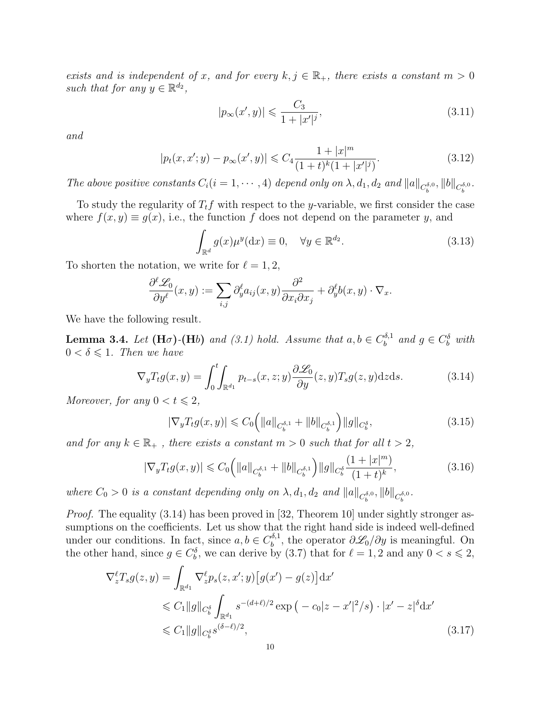exists and is independent of x, and for every  $k, j \in \mathbb{R}_+$ , there exists a constant  $m > 0$ such that for any  $y \in \mathbb{R}^{d_2}$ ,

$$
|p_{\infty}(x', y)| \leq \frac{C_3}{1 + |x'|^j},\tag{3.11}
$$

and

$$
|p_t(x, x'; y) - p_{\infty}(x', y)| \leq C_4 \frac{1 + |x|^m}{(1 + t)^k (1 + |x'|^j)}.
$$
\n(3.12)

The above positive constants  $C_i(i = 1, \dots, 4)$  depend only on  $\lambda, d_1, d_2$  and  $||a||_{C_b^{\delta,0}}, ||b||_{C_b^{\delta,0}}$ .

To study the regularity of  $T_t f$  with respect to the y-variable, we first consider the case where  $f(x, y) \equiv g(x)$ , i.e., the function f does not depend on the parameter y, and

$$
\int_{\mathbb{R}^d} g(x) \mu^y(\mathrm{d}x) \equiv 0, \quad \forall y \in \mathbb{R}^{d_2}.
$$
\n(3.13)

To shorten the notation, we write for  $\ell = 1, 2$ ,

$$
\frac{\partial^{\ell} \mathcal{L}_0}{\partial y^{\ell}}(x, y) := \sum_{i,j} \partial_y^{\ell} a_{ij}(x, y) \frac{\partial^2}{\partial x_i \partial x_j} + \partial_y^{\ell} b(x, y) \cdot \nabla_x.
$$

We have the following result.

**Lemma 3.4.** Let  $(H\sigma)$ - $(Hb)$  and  $(3.1)$  hold. Assume that  $a, b \in C_b^{\delta,1}$  $b^{\delta,1}$  and  $g \in C_b^{\delta}$  with  $0 < \delta \leq 1$ . Then we have

$$
\nabla_y T_t g(x, y) = \int_0^t \int_{\mathbb{R}^{d_1}} p_{t-s}(x, z; y) \frac{\partial \mathcal{L}_0}{\partial y}(z, y) T_s g(z, y) dz ds.
$$
 (3.14)

Moreover, for any  $0 < t \leq 2$ ,

$$
|\nabla_y T_t g(x, y)| \leq C_0 \left( \|a\|_{C_b^{\delta, 1}} + \|b\|_{C_b^{\delta, 1}} \right) \|g\|_{C_b^{\delta}},\tag{3.15}
$$

and for any  $k \in \mathbb{R}_+$ , there exists a constant  $m > 0$  such that for all  $t > 2$ ,

$$
|\nabla_y T_t g(x, y)| \leq C_0 \left( \|a\|_{C_b^{\delta, 1}} + \|b\|_{C_b^{\delta, 1}} \right) \|g\|_{C_b^{\delta}} \frac{(1 + |x|^m)}{(1 + t)^k},\tag{3.16}
$$

where  $C_0 > 0$  is a constant depending only on  $\lambda$ ,  $d_1$ ,  $d_2$  and  $||a||_{C_b^{\delta,0}}$ ,  $||b||_{C_b^{\delta,0}}$ .

Proof. The equality (3.14) has been proved in [32, Theorem 10] under sightly stronger assumptions on the coefficients. Let us show that the right hand side is indeed well-defined under our conditions. In fact, since  $a, b \in C_b^{\delta,1}$  $\partial_b^{\delta,1}$ , the operator  $\partial \mathcal{L}_0/\partial y$  is meaningful. On the other hand, since  $g \in C_b^{\delta}$ , we can derive by (3.7) that for  $\ell = 1, 2$  and any  $0 < s \leq 2$ ,

$$
\nabla_z^{\ell} T_s g(z, y) = \int_{\mathbb{R}^{d_1}} \nabla_z^{\ell} p_s(z, x'; y) \left[ g(x') - g(z) \right] dx'
$$
  
\n
$$
\leq C_1 \|g\|_{C_b^{\delta}} \int_{\mathbb{R}^{d_1}} s^{-(d+\ell)/2} \exp\left( -c_0 |z - x'|^2 / s \right) \cdot |x' - z|^{\delta} dx'
$$
  
\n
$$
\leq C_1 \|g\|_{C_b^{\delta}} s^{(\delta - \ell)/2},
$$
\n(3.17)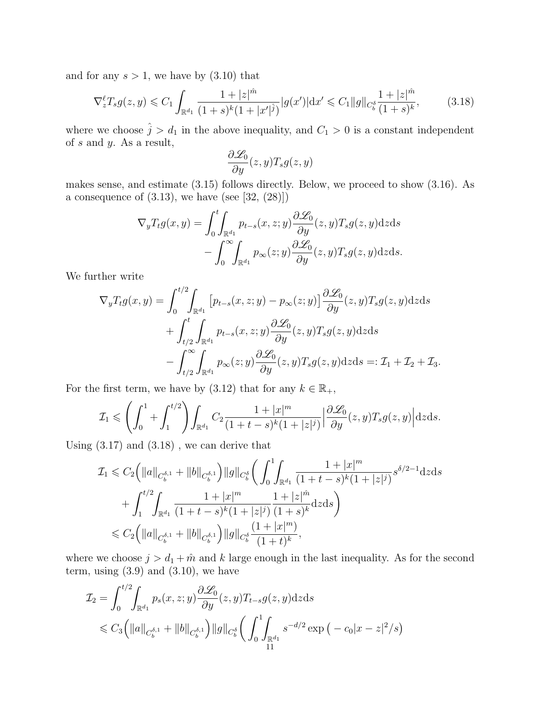and for any  $s > 1$ , we have by  $(3.10)$  that

$$
\nabla_z^{\ell} T_s g(z, y) \leq C_1 \int_{\mathbb{R}^{d_1}} \frac{1 + |z|^{\hat{m}}}{(1 + s)^k (1 + |x'|^{\hat{j}})} |g(x')| \mathrm{d}x' \leq C_1 \|g\|_{C_b^{\hat{\delta}}} \frac{1 + |z|^{\hat{m}}}{(1 + s)^k},\tag{3.18}
$$

where we choose  $\hat{j} > d_1$  in the above inequality, and  $C_1 > 0$  is a constant independent of  $s$  and  $y$ . As a result,

$$
\frac{\partial \mathcal{L}_0}{\partial y}(z, y) T_s g(z, y)
$$

makes sense, and estimate (3.15) follows directly. Below, we proceed to show (3.16). As a consequence of  $(3.13)$ , we have (see [32,  $(28)$ ])

$$
\nabla_y T_t g(x, y) = \int_0^t \int_{\mathbb{R}^{d_1}} p_{t-s}(x, z; y) \frac{\partial \mathcal{L}_0}{\partial y}(z, y) T_s g(z, y) \mathrm{d}z \mathrm{d}s \n- \int_0^\infty \int_{\mathbb{R}^{d_1}} p_{\infty}(z; y) \frac{\partial \mathcal{L}_0}{\partial y}(z, y) T_s g(z, y) \mathrm{d}z \mathrm{d}s.
$$

We further write

$$
\nabla_y T_t g(x, y) = \int_0^{t/2} \int_{\mathbb{R}^{d_1}} \left[ p_{t-s}(x, z; y) - p_{\infty}(z; y) \right] \frac{\partial \mathcal{L}_0}{\partial y}(z, y) T_s g(z, y) dz ds \n+ \int_{t/2}^t \int_{\mathbb{R}^{d_1}} p_{t-s}(x, z; y) \frac{\partial \mathcal{L}_0}{\partial y}(z, y) T_s g(z, y) dz ds \n- \int_{t/2}^{\infty} \int_{\mathbb{R}^{d_1}} p_{\infty}(z; y) \frac{\partial \mathcal{L}_0}{\partial y}(z, y) T_s g(z, y) dz ds =: \mathcal{I}_1 + \mathcal{I}_2 + \mathcal{I}_3.
$$

For the first term, we have by (3.12) that for any  $k \in \mathbb{R}_+$ ,

$$
\mathcal{I}_1 \leqslant \left( \int_0^1 + \int_1^{t/2} \right) \int_{\mathbb{R}^{d_1}} C_2 \frac{1 + |x|^m}{(1 + t - s)^k (1 + |z|^j)} \left| \frac{\partial \mathcal{L}_0}{\partial y}(z, y) T_s g(z, y) \right| dz ds.
$$

Using  $(3.17)$  and  $(3.18)$ , we can derive that

$$
\mathcal{I}_{1} \leqslant C_{2} \Big( \Vert a \Vert_{C_{b}^{\delta,1}} + \Vert b \Vert_{C_{b}^{\delta,1}} \Big) \Vert g \Vert_{C_{b}^{\delta}} \Big( \int_{0}^{1} \int_{\mathbb{R}^{d_{1}}} \frac{1 + \vert x \vert^{m}}{(1 + t - s)^{k} (1 + \vert z \vert^{j})} s^{\delta/2 - 1} \mathrm{d}z \mathrm{d}s
$$
\n
$$
+ \int_{1}^{t/2} \int_{\mathbb{R}^{d_{1}}} \frac{1 + \vert x \vert^{m}}{(1 + t - s)^{k} (1 + \vert z \vert^{j})} \frac{1 + \vert z \vert^{m}}{(1 + s)^{k}} \mathrm{d}z \mathrm{d}s \Big)
$$
\n
$$
\leqslant C_{2} \Big( \Vert a \Vert_{C_{b}^{\delta,1}} + \Vert b \Vert_{C_{b}^{\delta,1}} \Big) \Vert g \Vert_{C_{b}^{\delta}} \frac{(1 + \vert x \vert^{m})}{(1 + t)^{k}},
$$

where we choose  $j > d_1 + \hat{m}$  and k large enough in the last inequality. As for the second term, using  $(3.9)$  and  $(3.10)$ , we have

$$
\mathcal{I}_2 = \int_0^{t/2} \int_{\mathbb{R}^{d_1}} p_s(x, z; y) \frac{\partial \mathcal{L}_0}{\partial y}(z, y) T_{t-s} g(z, y) dz ds
$$
  
\$\leq C\_3 \left( ||a||\_{C\_b^{\delta,1}} + ||b||\_{C\_b^{\delta,1}} \right) ||g||\_{C\_b^{\delta}} \left( \int\_0^1 \int\_{\mathbb{R}^{d\_1}} s^{-d/2} \exp \left( -c\_0 |x - z|^2 / s \right) \right) \right]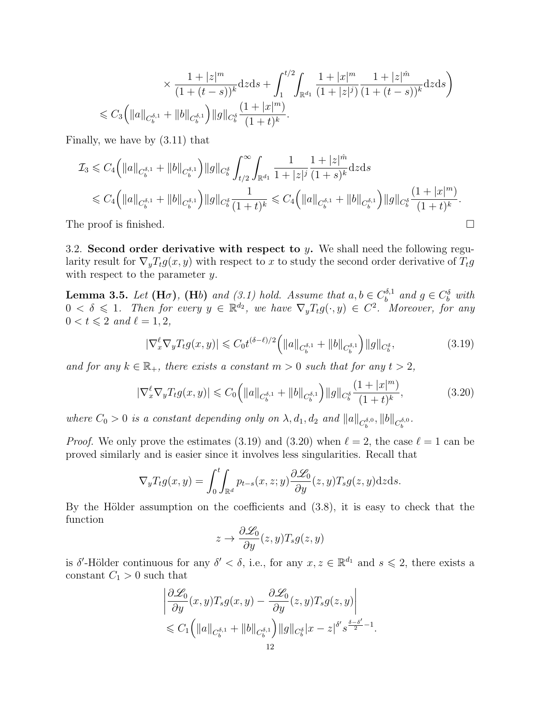$$
\times \frac{1+|z|^m}{(1+(t-s))^k} \, dz \, ds + \int_1^{t/2} \int_{\mathbb{R}^{d_1}} \frac{1+|x|^m}{(1+|z|^j)} \frac{1+|z|^{\hat{m}}}{(1+(t-s))^k} \, dz \, ds \bigg) \leq C_3 \Big( \|a\|_{C_b^{\delta,1}} + \|b\|_{C_b^{\delta,1}} \Big) \|g\|_{C_b^\delta} \frac{(1+|x|^m)}{(1+t)^k}.
$$

Finally, we have by (3.11) that

$$
\mathcal{I}_3 \leqslant C_4 \left( \|a\|_{C_b^{\delta,1}} + \|b\|_{C_b^{\delta,1}} \right) \|g\|_{C_b^{\delta}} \int_{t/2}^{\infty} \int_{\mathbb{R}^{d_1}} \frac{1}{1 + |z|^j} \frac{1 + |z|^{\hat{m}}}{(1 + s)^k} \mathrm{d}z \mathrm{d}s
$$
\n
$$
\leqslant C_4 \left( \|a\|_{C_b^{\delta,1}} + \|b\|_{C_b^{\delta,1}} \right) \|g\|_{C_b^{\delta}} \frac{1}{(1 + t)^k} \leqslant C_4 \left( \|a\|_{C_b^{\delta,1}} + \|b\|_{C_b^{\delta,1}} \right) \|g\|_{C_b^{\delta}} \frac{(1 + |x|^m)}{(1 + t)^k}.
$$
\nThe proof is finished.

3.2. Second order derivative with respect to y. We shall need the following regularity result for  $\nabla_y T_t g(x, y)$  with respect to x to study the second order derivative of  $T_t g$ with respect to the parameter y.

**Lemma 3.5.** Let  $(H\sigma)$ ,  $(Hb)$  and  $(3.1)$  hold. Assume that  $a, b \in C_b^{\delta,1}$  $b^{\delta,1}$  and  $g \in C_b^{\delta}$  with  $0 < \delta \leqslant 1$ . Then for every  $y \in \mathbb{R}^{d_2}$ , we have  $\nabla_y T_t g(\cdot, y) \in C^2$ . Moreover, for any  $0 < t \leqslant 2$  and  $\ell = 1, 2$ ,

$$
|\nabla_x^{\ell} \nabla_y T_t g(x, y)| \leq C_0 t^{(\delta - \ell)/2} \left( \|a\|_{C_b^{\delta, 1}} + \|b\|_{C_b^{\delta, 1}} \right) \|g\|_{C_b^{\delta}},\tag{3.19}
$$

and for any  $k \in \mathbb{R}_+$ , there exists a constant  $m > 0$  such that for any  $t > 2$ ,

$$
|\nabla_x^{\ell} \nabla_y T_t g(x, y)| \leq C_0 \left( \|a\|_{C_b^{\delta, 1}} + \|b\|_{C_b^{\delta, 1}} \right) \|g\|_{C_b^{\delta}} \frac{(1 + |x|^m)}{(1 + t)^k},
$$
(3.20)

where  $C_0 > 0$  is a constant depending only on  $\lambda$ ,  $d_1$ ,  $d_2$  and  $||a||_{C_b^{\delta,0}}$ ,  $||b||_{C_b^{\delta,0}}$ .

*Proof.* We only prove the estimates (3.19) and (3.20) when  $\ell = 2$ , the case  $\ell = 1$  can be proved similarly and is easier since it involves less singularities. Recall that

$$
\nabla_y T_t g(x, y) = \int_0^t \int_{\mathbb{R}^d} p_{t-s}(x, z; y) \frac{\partial \mathcal{L}_0}{\partial y}(z, y) T_s g(z, y) \mathrm{d}z \mathrm{d}s.
$$

By the Hölder assumption on the coefficients and  $(3.8)$ , it is easy to check that the function

$$
z \to \frac{\partial \mathcal{L}_0}{\partial y}(z, y) T_s g(z, y)
$$

is  $\delta'$ -Hölder continuous for any  $\delta' < \delta$ , i.e., for any  $x, z \in \mathbb{R}^{d_1}$  and  $s \leq 2$ , there exists a constant  $C_1 > 0$  such that

$$
\left| \frac{\partial \mathcal{L}_0}{\partial y}(x, y) T_s g(x, y) - \frac{\partial \mathcal{L}_0}{\partial y}(z, y) T_s g(z, y) \right|
$$
  
\$\leqslant C\_1 \left( \|a\|\_{C\_b^{\delta,1}} + \|b\|\_{C\_b^{\delta,1}} \right) \|g\|\_{C\_b^{\delta}} |x - z|^{\delta'} s^{\frac{\delta - \delta'}{2} - 1}.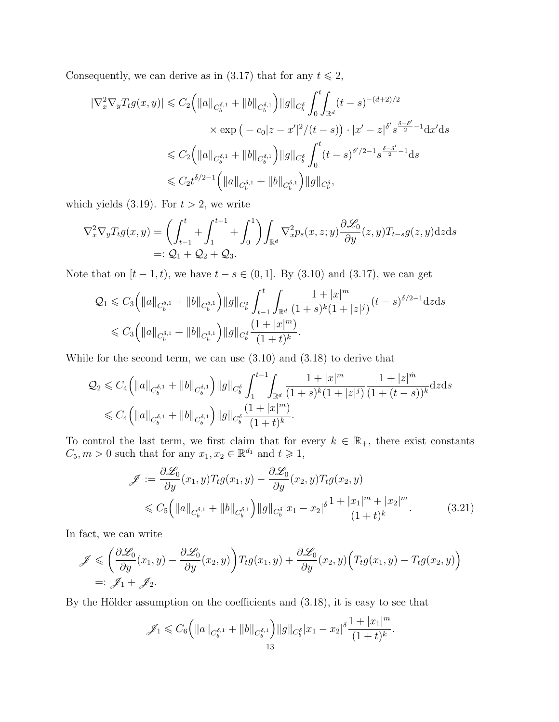Consequently, we can derive as in (3.17) that for any  $t \le 2$ ,

$$
\begin{split} |\nabla_x^2 \nabla_y T_t g(x, y)| &\leq C_2 \Big( \|a\|_{C_b^{\delta, 1}} + \|b\|_{C_b^{\delta, 1}} \Big) \|g\|_{C_b^{\delta}} \int_0^t \!\! \int_{\mathbb{R}^d} (t - s)^{-(d+2)/2} \\ &\times \exp\big(-c_0 |z - x'|^2 / (t - s)\big) \cdot |x' - z|^{\delta'} s^{\frac{\delta - \delta'}{2} - 1} \mathrm{d}x' \mathrm{d}s \\ &\leqslant C_2 \Big( \|a\|_{C_b^{\delta, 1}} + \|b\|_{C_b^{\delta, 1}} \Big) \|g\|_{C_b^{\delta}} \int_0^t (t - s)^{\delta'/2 - 1} s^{\frac{\delta - \delta'}{2} - 1} \mathrm{d}s \\ &\leqslant C_2 t^{\delta/2 - 1} \Big( \|a\|_{C_b^{\delta, 1}} + \|b\|_{C_b^{\delta, 1}} \Big) \|g\|_{C_b^{\delta}}, \end{split}
$$

which yields (3.19). For  $t > 2$ , we write

$$
\nabla_x^2 \nabla_y T_t g(x, y) = \left( \int_{t-1}^t + \int_1^{t-1} + \int_0^1 \right) \int_{\mathbb{R}^d} \nabla_x^2 p_s(x, z; y) \frac{\partial \mathcal{L}_0}{\partial y}(z, y) T_{t-s} g(z, y) dz ds
$$
  
=:  $Q_1 + Q_2 + Q_3$ .

Note that on  $[t - 1, t)$ , we have  $t - s \in (0, 1]$ . By  $(3.10)$  and  $(3.17)$ , we can get

$$
\begin{split} \mathcal{Q}_{1} &\leqslant C_{3} \Big( \|a\|_{C_{b}^{\delta,1}} + \|b\|_{C_{b}^{\delta,1}} \Big) \|g\|_{C_{b}^{\delta}} \int_{t-1}^{t} \int_{\mathbb{R}^{d}} \frac{1+|x|^{m}}{(1+s)^{k}(1+|z|^{j})} (t-s)^{\delta/2-1} \mathrm{d}z \mathrm{d}s \\ &\leqslant C_{3} \Big( \|a\|_{C_{b}^{\delta,1}} + \|b\|_{C_{b}^{\delta,1}} \Big) \|g\|_{C_{b}^{\delta}} \frac{(1+|x|^{m})}{(1+t)^{k}}. \end{split}
$$

While for the second term, we can use (3.10) and (3.18) to derive that

$$
\begin{split} \mathcal{Q}_{2} &\leqslant C_{4} \Big( \Vert a \Vert_{C_{b}^{\delta,1}} + \Vert b \Vert_{C_{b}^{\delta,1}} \Big) \Vert g \Vert_{C_{b}^{\delta}} \int_{1}^{t-1} \!\!\! \int_{\mathbb{R}^{d}} \frac{1 + \vert x \vert^{m}}{(1+s)^{k}(1 + \vert z \vert^{j})} \frac{1 + \vert z \vert^{\hat{m}}}{(1 + (t-s))^{k}} \mathrm{d}z \mathrm{d}s \\ &\leqslant C_{4} \Big( \Vert a \Vert_{C_{b}^{\delta,1}} + \Vert b \Vert_{C_{b}^{\delta,1}} \Big) \Vert g \Vert_{C_{b}^{\delta}} \frac{(1 + \vert x \vert^{m})}{(1 + t)^{k}} . \end{split}
$$

To control the last term, we first claim that for every  $k \in \mathbb{R}_+$ , there exist constants  $C_5, m > 0$  such that for any  $x_1, x_2 \in \mathbb{R}^{d_1}$  and  $t \geq 1$ ,

$$
\mathcal{J} := \frac{\partial \mathcal{L}_0}{\partial y}(x_1, y) T_t g(x_1, y) - \frac{\partial \mathcal{L}_0}{\partial y}(x_2, y) T_t g(x_2, y) \n\leq C_5 \left( \|a\|_{C_b^{\delta, 1}} + \|b\|_{C_b^{\delta, 1}} \right) \|g\|_{C_b^{\delta}} |x_1 - x_2|^{\delta} \frac{1 + |x_1|^m + |x_2|^m}{(1 + t)^k}.
$$
\n(3.21)

In fact, we can write

$$
\mathscr{J} \leqslant \left(\frac{\partial \mathscr{L}_0}{\partial y}(x_1, y) - \frac{\partial \mathscr{L}_0}{\partial y}(x_2, y)\right) T_t g(x_1, y) + \frac{\partial \mathscr{L}_0}{\partial y}(x_2, y) \Big( T_t g(x_1, y) - T_t g(x_2, y) \Big)
$$
  
=:  $\mathscr{J}_1 + \mathscr{J}_2$ .

By the Hölder assumption on the coefficients and  $(3.18)$ , it is easy to see that

$$
\mathscr{J}_1\leqslant C_6\Big(\|a\|_{C_b^{\delta,1}}+\|b\|_{C_b^{\delta,1}}\Big)\|g\|_{C_b^{\delta}}|x_1-x_2|^\delta\frac{1+|x_1|^m}{(1+t)^k}.
$$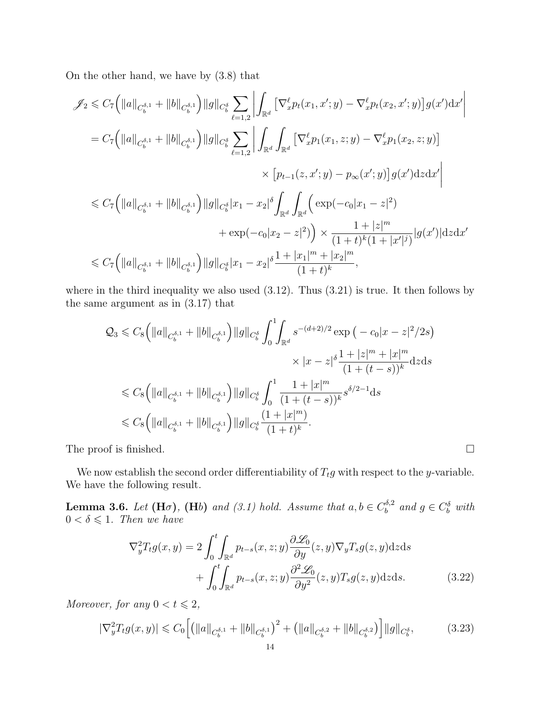On the other hand, we have by (3.8) that

$$
\mathscr{J}_{2} \leq C_{7} \Big( \|a\|_{C_{b}^{\delta,1}} + \|b\|_{C_{b}^{\delta,1}} \Big) \|g\|_{C_{b}^{\delta}} \sum_{\ell=1,2} \left| \int_{\mathbb{R}^{d}} \left[ \nabla_{x}^{\ell} p_{t}(x_{1}, x'; y) - \nabla_{x}^{\ell} p_{t}(x_{2}, x'; y) \right] g(x') dx' \right|
$$
  
\n
$$
= C_{7} \Big( \|a\|_{C_{b}^{\delta,1}} + \|b\|_{C_{b}^{\delta,1}} \Big) \|g\|_{C_{b}^{\delta}} \sum_{\ell=1,2} \left| \int_{\mathbb{R}^{d}} \int_{\mathbb{R}^{d}} \left[ \nabla_{x}^{\ell} p_{1}(x_{1}, z; y) - \nabla_{x}^{\ell} p_{1}(x_{2}, z; y) \right] \times \left[ p_{t-1}(z, x'; y) - p_{\infty}(x'; y) \right] g(x') dz dx' \right|
$$
  
\n
$$
\leq C_{7} \Big( \|a\|_{C_{b}^{\delta,1}} + \|b\|_{C_{b}^{\delta,1}} \Big) \|g\|_{C_{b}^{\delta}} |x_{1} - x_{2}|^{\delta} \int_{\mathbb{R}^{d}} \int_{\mathbb{R}^{d}} \Big( \exp(-c_{0}|x_{1} - z|^{2}) + \exp(-c_{0}|x_{2} - z|^{2}) \Big) \times \frac{1 + |z|^{m}}{(1 + t)^{k}(1 + |x'|^{j})} |g(x')| dz dx'
$$
  
\n
$$
\leq C_{7} \Big( \|a\|_{C_{b}^{\delta,1}} + \|b\|_{C_{b}^{\delta,1}} \Big) \|g\|_{C_{b}^{\delta}} |x_{1} - x_{2}|^{\delta} \frac{1 + |x_{1}|^{m} + |x_{2}|^{m}}{(1 + t)^{k}},
$$

where in the third inequality we also used  $(3.12)$ . Thus  $(3.21)$  is true. It then follows by the same argument as in (3.17) that

$$
\mathcal{Q}_{3} \leq C_{8} \Big( \|a\|_{C_{b}^{\delta,1}} + \|b\|_{C_{b}^{\delta,1}} \Big) \|g\|_{C_{b}^{\delta}} \int_{0}^{1} \int_{\mathbb{R}^{d}} s^{-(d+2)/2} \exp\big(-c_{0}|x-z|^{2}/2s\big)
$$
  

$$
\times |x-z|^{\delta} \frac{1+|z|^{m}+|x|^{m}}{(1+(t-s))^{k}} \mathrm{d}z \mathrm{d}s
$$
  

$$
\leq C_{8} \Big( \|a\|_{C_{b}^{\delta,1}} + \|b\|_{C_{b}^{\delta,1}} \Big) \|g\|_{C_{b}^{\delta}} \int_{0}^{1} \frac{1+|x|^{m}}{(1+(t-s))^{k}} s^{\delta/2-1} \mathrm{d}s
$$
  

$$
\leq C_{8} \Big( \|a\|_{C_{b}^{\delta,1}} + \|b\|_{C_{b}^{\delta,1}} \Big) \|g\|_{C_{b}^{\delta}} \frac{(1+|x|^{m})}{(1+t)^{k}}.
$$

The proof is finished.

We now establish the second order differentiability of  $T_t g$  with respect to the y-variable. We have the following result.

**Lemma 3.6.** Let  $(H\sigma)$ ,  $(Hb)$  and  $(3.1)$  hold. Assume that  $a, b \in C_b^{\delta, 2}$  $b_0^{\delta,2}$  and  $g \in C_b^{\delta}$  with  $0 < \delta \leq 1$ . Then we have

$$
\nabla_y^2 T_t g(x, y) = 2 \int_0^t \int_{\mathbb{R}^d} p_{t-s}(x, z; y) \frac{\partial \mathcal{L}_0}{\partial y}(z, y) \nabla_y T_s g(z, y) dz ds + \int_0^t \int_{\mathbb{R}^d} p_{t-s}(x, z; y) \frac{\partial^2 \mathcal{L}_0}{\partial y^2}(z, y) T_s g(z, y) dz ds.
$$
 (3.22)

Moreover, for any  $0 < t \leq 2$ ,

$$
|\nabla_y^2 T_t g(x, y)| \leq C_0 \left[ \left( \|a\|_{C_b^{\delta, 1}} + \|b\|_{C_b^{\delta, 1}} \right)^2 + \left( \|a\|_{C_b^{\delta, 2}} + \|b\|_{C_b^{\delta, 2}} \right) \right] \|g\|_{C_b^{\delta}},\tag{3.23}
$$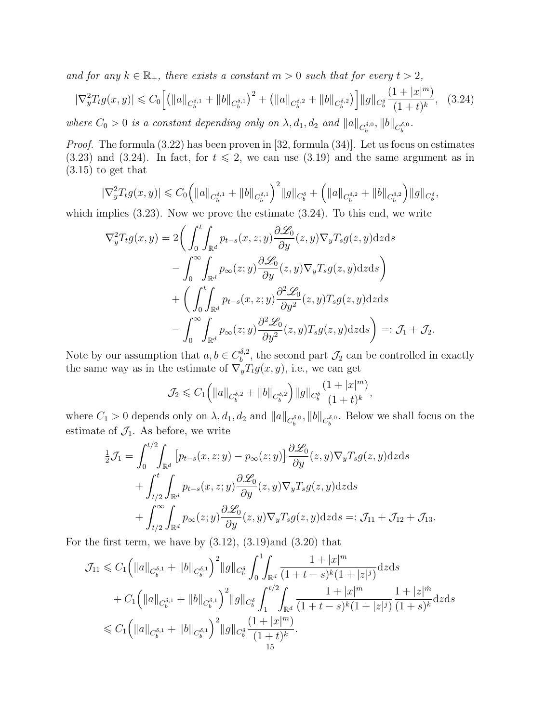and for any  $k \in \mathbb{R}_+$ , there exists a constant  $m > 0$  such that for every  $t > 2$ ,

$$
|\nabla_y^2 T_t g(x, y)| \leq C_0 \Big[ \big( \|a\|_{C_b^{\delta, 1}} + \|b\|_{C_b^{\delta, 1}} \big)^2 + \big( \|a\|_{C_b^{\delta, 2}} + \|b\|_{C_b^{\delta, 2}} \big) \Big] \|g\|_{C_b^{\delta}} \frac{(1 + |x|^m)}{(1 + t)^k}, \quad (3.24)
$$

where  $C_0 > 0$  is a constant depending only on  $\lambda$ ,  $d_1$ ,  $d_2$  and  $||a||_{C_b^{\delta,0}}$ ,  $||b||_{C_b^{\delta,0}}$ .

*Proof.* The formula  $(3.22)$  has been proven in [32, formula  $(34)$ ]. Let us focus on estimates  $(3.23)$  and  $(3.24)$ . In fact, for  $t \le 2$ , we can use  $(3.19)$  and the same argument as in (3.15) to get that

$$
|\nabla_y^2 T_t g(x, y)| \leq C_0 \Big( \|a\|_{C_b^{\delta, 1}} + \|b\|_{C_b^{\delta, 1}} \Big)^2 \|g\|_{C_b^{\delta}} + \Big( \|a\|_{C_b^{\delta, 2}} + \|b\|_{C_b^{\delta, 2}} \Big) \|g\|_{C_b^{\delta}},
$$

which implies (3.23). Now we prove the estimate (3.24). To this end, we write

$$
\nabla_y^2 T_t g(x, y) = 2 \bigg( \int_0^t \int_{\mathbb{R}^d} p_{t-s}(x, z; y) \frac{\partial \mathcal{L}_0}{\partial y}(z, y) \nabla_y T_s g(z, y) dz ds \n- \int_0^\infty \int_{\mathbb{R}^d} p_{\infty}(z; y) \frac{\partial \mathcal{L}_0}{\partial y}(z, y) \nabla_y T_s g(z, y) dz ds \n+ \bigg( \int_0^t \int_{\mathbb{R}^d} p_{t-s}(x, z; y) \frac{\partial^2 \mathcal{L}_0}{\partial y^2}(z, y) T_s g(z, y) dz ds \n- \int_0^\infty \int_{\mathbb{R}^d} p_{\infty}(z; y) \frac{\partial^2 \mathcal{L}_0}{\partial y^2}(z, y) T_s g(z, y) dz ds \bigg) =: \mathcal{J}_1 + \mathcal{J}_2.
$$

Note by our assumption that  $a, b \in C_b^{\delta, 2}$  $\mathcal{L}_b^{\delta,2}$ , the second part  $\mathcal{J}_2$  can be controlled in exactly the same way as in the estimate of  $\nabla_y^{\check{y}} T_t g(x, y)$ , i.e., we can get

$$
\mathcal{J}_2 \leqslant C_1 \Big( \Vert a \Vert_{C_b^{\delta,2}} + \Vert b \Vert_{C_b^{\delta,2}} \Big) \Vert g \Vert_{C_b^{\delta}} \frac{(1 + \vert x \vert^m)}{(1 + t)^k},
$$

where  $C_1 > 0$  depends only on  $\lambda$ ,  $d_1$ ,  $d_2$  and  $||a||_{C_b^{\delta,0}}$ ,  $||b||_{C_b^{\delta,0}}$ . Below we shall focus on the estimate of  $\mathcal{J}_1$ . As before, we write

$$
\frac{1}{2}\mathcal{J}_1 = \int_0^{t/2} \int_{\mathbb{R}^d} \left[ p_{t-s}(x, z; y) - p_{\infty}(z; y) \right] \frac{\partial \mathcal{L}_0}{\partial y}(z, y) \nabla_y T_s g(z, y) dz ds \n+ \int_{t/2}^t \int_{\mathbb{R}^d} p_{t-s}(x, z; y) \frac{\partial \mathcal{L}_0}{\partial y}(z, y) \nabla_y T_s g(z, y) dz ds \n+ \int_{t/2}^\infty \int_{\mathbb{R}^d} p_{\infty}(z; y) \frac{\partial \mathcal{L}_0}{\partial y}(z, y) \nabla_y T_s g(z, y) dz ds =: \mathcal{J}_{11} + \mathcal{J}_{12} + \mathcal{J}_{13}.
$$

For the first term, we have by  $(3.12)$ ,  $(3.19)$  and  $(3.20)$  that

$$
\mathcal{J}_{11} \leq C_{1} \Big( \|a\|_{C_{b}^{\delta,1}} + \|b\|_{C_{b}^{\delta,1}} \Big)^{2} \|g\|_{C_{b}^{\delta}} \int_{0}^{1} \int_{\mathbb{R}^{d}} \frac{1 + |x|^{m}}{(1 + t - s)^{k} (1 + |z|^{j})} dz ds
$$
  
+ 
$$
C_{1} \Big( \|a\|_{C_{b}^{\delta,1}} + \|b\|_{C_{b}^{\delta,1}} \Big)^{2} \|g\|_{C_{b}^{\delta}} \int_{1}^{t/2} \int_{\mathbb{R}^{d}} \frac{1 + |x|^{m}}{(1 + t - s)^{k} (1 + |z|^{j})} \frac{1 + |z|^{m}}{(1 + s)^{k}} dz ds
$$
  

$$
\leq C_{1} \Big( \|a\|_{C_{b}^{\delta,1}} + \|b\|_{C_{b}^{\delta,1}} \Big)^{2} \|g\|_{C_{b}^{\delta}} \frac{(1 + |x|^{m})}{(1 + t)^{k}}.
$$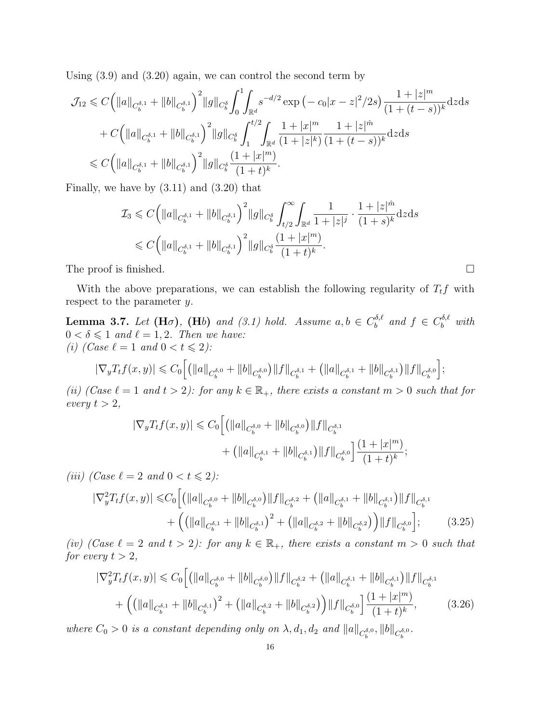Using (3.9) and (3.20) again, we can control the second term by

$$
\mathcal{J}_{12} \leq C \Big( \|a\|_{C_b^{\delta,1}} + \|b\|_{C_b^{\delta,1}} \Big)^2 \|g\|_{C_b^{\delta}} \int_0^1 \int_{\mathbb{R}^d} s^{-d/2} \exp\left(-c_0|x-z|^2/2s\right) \frac{1+|z|^m}{(1+(t-s))^k} \mathrm{d}z \mathrm{d}s
$$
  
+ 
$$
C \Big( \|a\|_{C_b^{\delta,1}} + \|b\|_{C_b^{\delta,1}} \Big)^2 \|g\|_{C_b^{\delta}} \int_1^{t/2} \int_{\mathbb{R}^d} \frac{1+|x|^m}{(1+|z|^k)} \frac{1+|z|^{\hat{m}}}{(1+(t-s))^k} \mathrm{d}z \mathrm{d}s
$$
  

$$
\leq C \Big( \|a\|_{C_b^{\delta,1}} + \|b\|_{C_b^{\delta,1}} \Big)^2 \|g\|_{C_b^{\delta}} \frac{(1+|x|^m)}{(1+t)^k}.
$$

Finally, we have by  $(3.11)$  and  $(3.20)$  that

$$
\mathcal{I}_3 \leqslant C \Big( \|a\|_{C_b^{\delta,1}} + \|b\|_{C_b^{\delta,1}} \Big)^2 \|g\|_{C_b^{\delta}} \int_{t/2}^{\infty} \int_{\mathbb{R}^d} \frac{1}{1 + |z|^j} \cdot \frac{1 + |z|^{\hat{m}}}{(1 + s)^k} \mathrm{d}z \mathrm{d}s
$$
  
\$\leqslant C \Big( \|a\|\_{C\_b^{\delta,1}} + \|b\|\_{C\_b^{\delta,1}} \Big)^2 \|g\|\_{C\_b^{\delta}} \frac{(1 + |x|^m)}{(1 + t)^k}.

The proof is finished.

With the above preparations, we can establish the following regularity of  $T_t f$  with respect to the parameter y.

**Lemma 3.7.** Let  $(H\sigma)$ ,  $(Hb)$  and  $(3.1)$  hold. Assume  $a, b \in C_b^{\delta, \ell}$  $b_0^{\delta,\ell}$  and  $f \in C_b^{\delta,\ell}$  with  $0 < \delta \leq 1$  and  $\ell = 1, 2$ . Then we have: (i) (Case  $\ell = 1$  and  $0 < t \leq 2$ ):

$$
|\nabla_y T_t f(x,y)| \leq C_0 \Big[ \big( \|a\|_{C_b^{\delta,0}} + \|b\|_{C_b^{\delta,0}} \big) \|f\|_{C_b^{\delta,1}} + \big( \|a\|_{C_b^{\delta,1}} + \|b\|_{C_b^{\delta,1}} \big) \|f\|_{C_b^{\delta,0}} \Big];
$$

(ii) (Case  $\ell = 1$  and  $t > 2$ ): for any  $k \in \mathbb{R}_+$ , there exists a constant  $m > 0$  such that for every  $t > 2$ ,

$$
\begin{aligned} |\nabla_y T_t f(x, y)| &\leqslant C_0 \Big[ \left( \|a\|_{C_b^{\delta, 0}} + \|b\|_{C_b^{\delta, 0}} \right) \|f\|_{C_b^{\delta, 1}} \\ &+ \left( \|a\|_{C_b^{\delta, 1}} + \|b\|_{C_b^{\delta, 1}} \right) \|f\|_{C_b^{\delta, 0}} \Big] \frac{(1 + |x|^m)}{(1 + t)^k}; \end{aligned}
$$

(iii) (Case  $\ell = 2$  and  $0 < t \leq 2$ ):

$$
|\nabla_{y}^{2}T_{t}f(x,y)| \leq C_{0}\Big[ \left( \left\|a\right\|_{C_{b}^{\delta,0}} + \left\|b\right\|_{C_{b}^{\delta,0}} \right) \|f\|_{C_{b}^{\delta,2}} + \left( \left\|a\right\|_{C_{b}^{\delta,1}} + \left\|b\right\|_{C_{b}^{\delta,1}} \right) \|f\|_{C_{b}^{\delta,1}} + \left( \left( \left\|a\right\|_{C_{b}^{\delta,1}} + \left\|b\right\|_{C_{b}^{\delta,1}} \right)^{2} + \left( \left\|a\right\|_{C_{b}^{\delta,2}} + \left\|b\right\|_{C_{b}^{\delta,2}} \right) \right) \|f\|_{C_{b}^{\delta,0}} \Big];
$$
(3.25)

(iv) (Case  $\ell = 2$  and  $t > 2$ ): for any  $k \in \mathbb{R}_+$ , there exists a constant  $m > 0$  such that for every  $t > 2$ ,

$$
|\nabla_{y}^{2}T_{t}f(x,y)| \leq C_{0}\Big[\big(\|a\|_{C_{b}^{\delta,0}} + \|b\|_{C_{b}^{\delta,0}}\big)\|f\|_{C_{b}^{\delta,2}} + \big(\|a\|_{C_{b}^{\delta,1}} + \|b\|_{C_{b}^{\delta,1}}\big)\|f\|_{C_{b}^{\delta,1}} + \Big(\big(\|a\|_{C_{b}^{\delta,1}} + \|b\|_{C_{b}^{\delta,1}}\big)^{2} + \big(\|a\|_{C_{b}^{\delta,2}} + \|b\|_{C_{b}^{\delta,2}}\big)\Big)\|f\|_{C_{b}^{\delta,0}}\Big]\frac{(1+|x|^{m})}{(1+t)^{k}},\tag{3.26}
$$

where  $C_0 > 0$  is a constant depending only on  $\lambda$ ,  $d_1$ ,  $d_2$  and  $||a||_{C_b^{\delta,0}}$ ,  $||b||_{C_b^{\delta,0}}$ .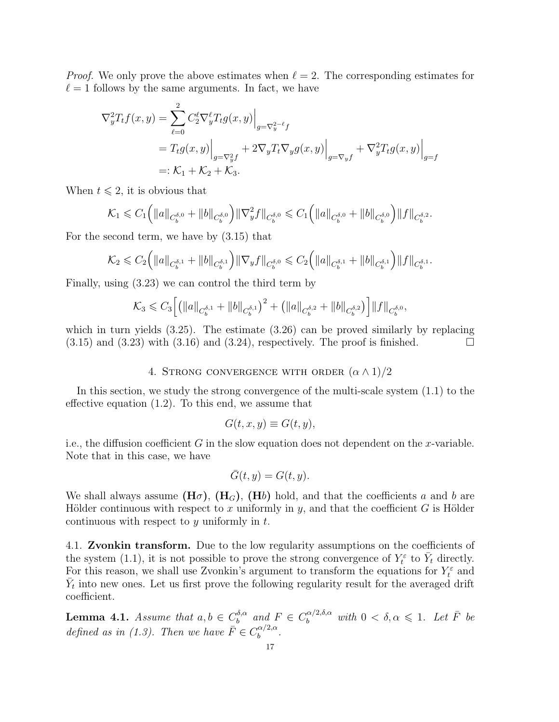*Proof.* We only prove the above estimates when  $\ell = 2$ . The corresponding estimates for  $\ell = 1$  follows by the same arguments. In fact, we have

$$
\nabla_y^2 T_t f(x, y) = \sum_{\ell=0}^2 C_2^{\ell} \nabla_y^{\ell} T_t g(x, y) \Big|_{g = \nabla_y^{2-\ell} f}
$$
  
=  $T_t g(x, y) \Big|_{g = \nabla_y^2 f} + 2 \nabla_y T_t \nabla_y g(x, y) \Big|_{g = \nabla_y f} + \nabla_y^2 T_t g(x, y) \Big|_{g = f}$   
=:  $\mathcal{K}_1 + \mathcal{K}_2 + \mathcal{K}_3$ .

When  $t \leq 2$ , it is obvious that

$$
\mathcal{K}_1 \leqslant C_1 \Big( \|a\|_{C_b^{\delta,0}} + \|b\|_{C_b^{\delta,0}} \Big) \|\nabla_y^2 f\|_{C_b^{\delta,0}} \leqslant C_1 \Big( \|a\|_{C_b^{\delta,0}} + \|b\|_{C_b^{\delta,0}} \Big) \|f\|_{C_b^{\delta,2}}.
$$

For the second term, we have by (3.15) that

$$
\mathcal{K}_2 \leqslant C_2 \Big( \|a\|_{C_b^{\delta,1}} + \|b\|_{C_b^{\delta,1}} \Big) \|\nabla_y f\|_{C_b^{\delta,0}} \leqslant C_2 \Big( \|a\|_{C_b^{\delta,1}} + \|b\|_{C_b^{\delta,1}} \Big) \|f\|_{C_b^{\delta,1}}.
$$

Finally, using (3.23) we can control the third term by

$$
\mathcal{K}_3 \leqslant C_3 \Big[ \big( \|a\|_{C_b^{\delta,1}} + \|b\|_{C_b^{\delta,1}} \big)^2 + \big( \|a\|_{C_b^{\delta,2}} + \|b\|_{C_b^{\delta,2}} \big) \Big] \|f\|_{C_b^{\delta,0}},
$$

which in turn yields  $(3.25)$ . The estimate  $(3.26)$  can be proved similarly by replacing  $(3.15)$  and  $(3.23)$  with  $(3.16)$  and  $(3.24)$ , respectively. The proof is finished.

## 4. STRONG CONVERGENCE WITH ORDER  $(\alpha \wedge 1)/2$

In this section, we study the strong convergence of the multi-scale system (1.1) to the effective equation (1.2). To this end, we assume that

$$
G(t, x, y) \equiv G(t, y),
$$

i.e., the diffusion coefficient  $G$  in the slow equation does not dependent on the x-variable. Note that in this case, we have

$$
\bar{G}(t, y) = G(t, y).
$$

We shall always assume  $(H\sigma)$ ,  $(H_G)$ ,  $(Hb)$  hold, and that the coefficients a and b are Hölder continuous with respect to x uniformly in y, and that the coefficient G is Hölder continuous with respect to  $y$  uniformly in  $t$ .

4.1. Zvonkin transform. Due to the low regularity assumptions on the coefficients of the system (1.1), it is not possible to prove the strong convergence of  $Y_t^{\varepsilon}$  to  $\overline{Y}_t$  directly. For this reason, we shall use Zvonkin's argument to transform the equations for  $Y_t^{\varepsilon}$  and  $\bar{Y}_t$  into new ones. Let us first prove the following regularity result for the averaged drift coefficient.

**Lemma 4.1.** Assume that  $a, b \in C_b^{\delta, \alpha}$  $\delta_b^{\delta,\alpha}$  and  $F \in C_b^{\alpha/2,\delta,\alpha}$  with  $0 < \delta, \alpha \leq 1$ . Let  $\overline{F}$  be defined as in (1.3). Then we have  $\bar{F} \in C_b^{\alpha/2,\alpha}$  $\frac{\alpha}{b}$ .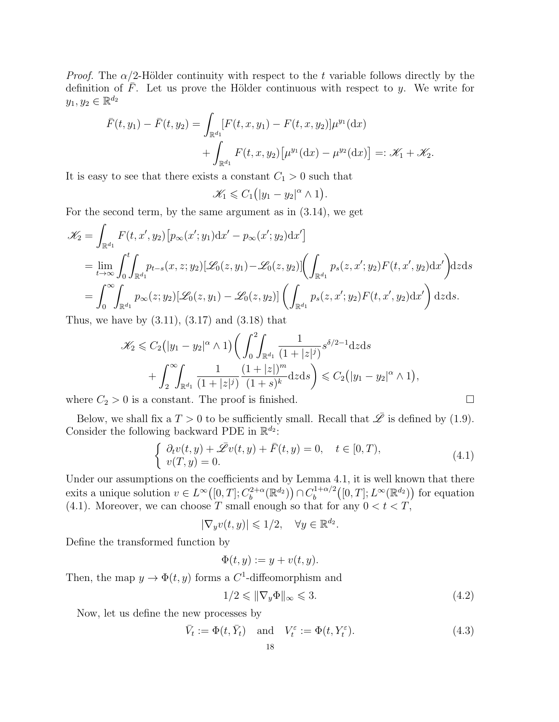*Proof.* The  $\alpha/2$ -Hölder continuity with respect to the t variable follows directly by the definition of F. Let us prove the Hölder continuous with respect to y. We write for  $y_1, y_2 \in \mathbb{R}^{d_2}$ 

$$
\bar{F}(t, y_1) - \bar{F}(t, y_2) = \int_{\mathbb{R}^{d_1}} [F(t, x, y_1) - F(t, x, y_2)] \mu^{y_1}(\mathrm{d}x) \n+ \int_{\mathbb{R}^{d_1}} F(t, x, y_2) [\mu^{y_1}(\mathrm{d}x) - \mu^{y_2}(\mathrm{d}x)] =: \mathcal{K}_1 + \mathcal{K}_2.
$$

It is easy to see that there exists a constant  $C_1 > 0$  such that

$$
\mathscr{K}_1 \leqslant C_1(|y_1-y_2|^{\alpha} \wedge 1).
$$

For the second term, by the same argument as in (3.14), we get

$$
\mathcal{K}_2 = \int_{\mathbb{R}^{d_1}} F(t, x', y_2) \left[ p_{\infty}(x'; y_1) \mathrm{d}x' - p_{\infty}(x'; y_2) \mathrm{d}x' \right]
$$
  
\n
$$
= \lim_{t \to \infty} \int_0^t \int_{\mathbb{R}^{d_1}} p_{t-s}(x, z; y_2) [\mathcal{L}_0(z, y_1) - \mathcal{L}_0(z, y_2)] \left( \int_{\mathbb{R}^{d_1}} p_s(z, x'; y_2) F(t, x', y_2) \mathrm{d}x' \right) \mathrm{d}z \mathrm{d}s
$$
  
\n
$$
= \int_0^\infty \int_{\mathbb{R}^{d_1}} p_{\infty}(z; y_2) [\mathcal{L}_0(z, y_1) - \mathcal{L}_0(z, y_2)] \left( \int_{\mathbb{R}^{d_1}} p_s(z, x'; y_2) F(t, x', y_2) \mathrm{d}x' \right) \mathrm{d}z \mathrm{d}s.
$$

Thus, we have by  $(3.11)$ ,  $(3.17)$  and  $(3.18)$  that

$$
\mathscr{K}_2 \leqslant C_2(|y_1 - y_2|^{\alpha} \wedge 1) \bigg( \int_0^2 \int_{\mathbb{R}^{d_1}} \frac{1}{(1 + |z|^j)} s^{\delta/2 - 1} dz ds + \int_2^{\infty} \int_{\mathbb{R}^{d_1}} \frac{1}{(1 + |z|^j)} \frac{(1 + |z|^m)}{(1 + s)^k} dz ds \bigg) \leqslant C_2 (|y_1 - y_2|^{\alpha} \wedge 1),
$$

where  $C_2 > 0$  is a constant. The proof is finished.  $\square$ 

Below, we shall fix a  $T > 0$  to be sufficiently small. Recall that  $\overline{\mathscr{L}}$  is defined by (1.9). Consider the following backward PDE in  $\mathbb{R}^{d_2}$ :

$$
\begin{cases}\n\partial_t v(t,y) + \bar{\mathcal{L}} v(t,y) + \bar{F}(t,y) = 0, \quad t \in [0,T), \\
v(T,y) = 0.\n\end{cases}
$$
\n(4.1)

Under our assumptions on the coefficients and by Lemma 4.1, it is well known that there exits a unique solution  $v \in L^{\infty}([0,T]; C^{2+\alpha}_b)$  $b^{2+\alpha}(\mathbb{R}^{d_2})\big) \cap C_b^{1+\alpha/2}$  $b_b^{(1+\alpha/2}([0,T];L^{\infty}(\mathbb{R}^{d_2}))$  for equation (4.1). Moreover, we can choose T small enough so that for any  $0 < t < T$ ,

$$
|\nabla_y v(t,y)| \leqslant 1/2, \quad \forall y \in \mathbb{R}^{d_2}.
$$

Define the transformed function by

$$
\Phi(t, y) := y + v(t, y).
$$

Then, the map  $y \to \Phi(t, y)$  forms a C<sup>1</sup>-diffeomorphism and

$$
1/2 \leqslant \|\nabla_y \Phi\|_{\infty} \leqslant 3. \tag{4.2}
$$

Now, let us define the new processes by

$$
\bar{V}_t := \Phi(t, \bar{Y}_t) \quad \text{and} \quad V_t^{\varepsilon} := \Phi(t, Y_t^{\varepsilon}). \tag{4.3}
$$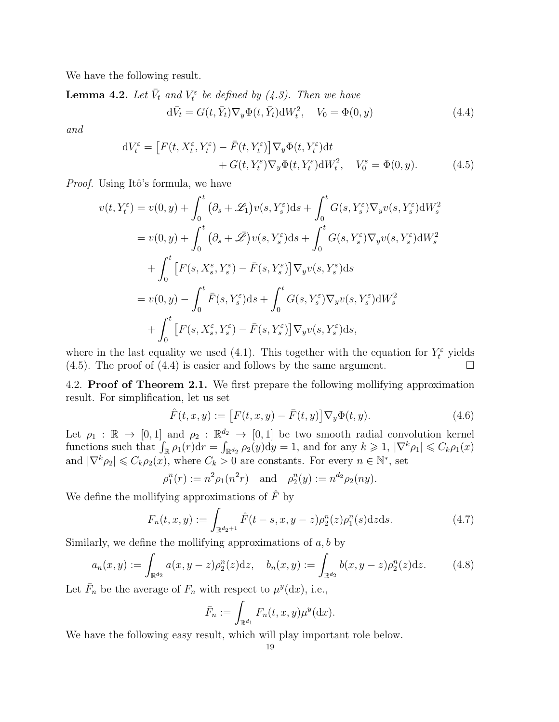We have the following result.

**Lemma 4.2.** Let  $\bar{V}_t$  and  $V_t^{\varepsilon}$  be defined by (4.3). Then we have

$$
d\bar{V}_t = G(t, \bar{Y}_t) \nabla_y \Phi(t, \bar{Y}_t) dW_t^2, \quad V_0 = \Phi(0, y)
$$
\n(4.4)

and

$$
dV_t^{\varepsilon} = \left[ F(t, X_t^{\varepsilon}, Y_t^{\varepsilon}) - \bar{F}(t, Y_t^{\varepsilon}) \right] \nabla_y \Phi(t, Y_t^{\varepsilon}) dt + G(t, Y_t^{\varepsilon}) \nabla_y \Phi(t, Y_t^{\varepsilon}) dW_t^2, \quad V_0^{\varepsilon} = \Phi(0, y).
$$
 (4.5)

*Proof.* Using Itô's formula, we have

$$
v(t, Y_t^{\varepsilon}) = v(0, y) + \int_0^t (\partial_s + \mathcal{L}_1) v(s, Y_s^{\varepsilon}) ds + \int_0^t G(s, Y_s^{\varepsilon}) \nabla_y v(s, Y_s^{\varepsilon}) dW_s^2
$$
  
\n
$$
= v(0, y) + \int_0^t (\partial_s + \bar{\mathcal{L}}) v(s, Y_s^{\varepsilon}) ds + \int_0^t G(s, Y_s^{\varepsilon}) \nabla_y v(s, Y_s^{\varepsilon}) dW_s^2
$$
  
\n
$$
+ \int_0^t \left[ F(s, X_s^{\varepsilon}, Y_s^{\varepsilon}) - \bar{F}(s, Y_s^{\varepsilon}) \right] \nabla_y v(s, Y_s^{\varepsilon}) ds
$$
  
\n
$$
= v(0, y) - \int_0^t \bar{F}(s, Y_s^{\varepsilon}) ds + \int_0^t G(s, Y_s^{\varepsilon}) \nabla_y v(s, Y_s^{\varepsilon}) dW_s^2
$$
  
\n
$$
+ \int_0^t \left[ F(s, X_s^{\varepsilon}, Y_s^{\varepsilon}) - \bar{F}(s, Y_s^{\varepsilon}) \right] \nabla_y v(s, Y_s^{\varepsilon}) ds,
$$

where in the last equality we used (4.1). This together with the equation for  $Y_t^{\varepsilon}$  yields  $(4.5)$ . The proof of  $(4.4)$  is easier and follows by the same argument.

4.2. Proof of Theorem 2.1. We first prepare the following mollifying approximation result. For simplification, let us set

$$
\hat{F}(t, x, y) := [F(t, x, y) - \bar{F}(t, y)] \nabla_y \Phi(t, y).
$$
\n(4.6)

Let  $\rho_1 : \mathbb{R} \to [0,1]$  and  $\rho_2 : \mathbb{R}^{d_2} \to [0,1]$  be two smooth radial convolution kernel functions such that  $\int_{\mathbb{R}} \rho_1(r) dr = \int_{\mathbb{R}^{d_2}} \rho_2(y) dy = 1$ , and for any  $k \geq 1$ ,  $|\nabla^k \rho_1| \leq C_k \rho_1(x)$ and  $|\nabla^k \rho_2| \leqslant C_k \rho_2(x)$ , where  $C_k > 0$  are constants. For every  $n \in \mathbb{N}^*$ , set

$$
\rho_1^n(r) := n^2 \rho_1(n^2 r)
$$
 and  $\rho_2^n(y) := n^{d_2} \rho_2(ny)$ .

We define the mollifying approximations of  $\ddot{F}$  by

$$
F_n(t, x, y) := \int_{\mathbb{R}^{d_2+1}} \hat{F}(t-s, x, y-z) \rho_2^n(z) \rho_1^n(s) dz ds.
$$
 (4.7)

Similarly, we define the mollifying approximations of  $a, b$  by

$$
a_n(x,y) := \int_{\mathbb{R}^{d_2}} a(x,y-z)\rho_2^n(z)dz, \quad b_n(x,y) := \int_{\mathbb{R}^{d_2}} b(x,y-z)\rho_2^n(z)dz.
$$
 (4.8)

Let  $\bar{F}_n$  be the average of  $F_n$  with respect to  $\mu^y(\mathrm{d}x)$ , i.e.,

$$
\bar{F}_n := \int_{\mathbb{R}^{d_1}} F_n(t, x, y) \mu^y(\mathrm{d} x).
$$

We have the following easy result, which will play important role below.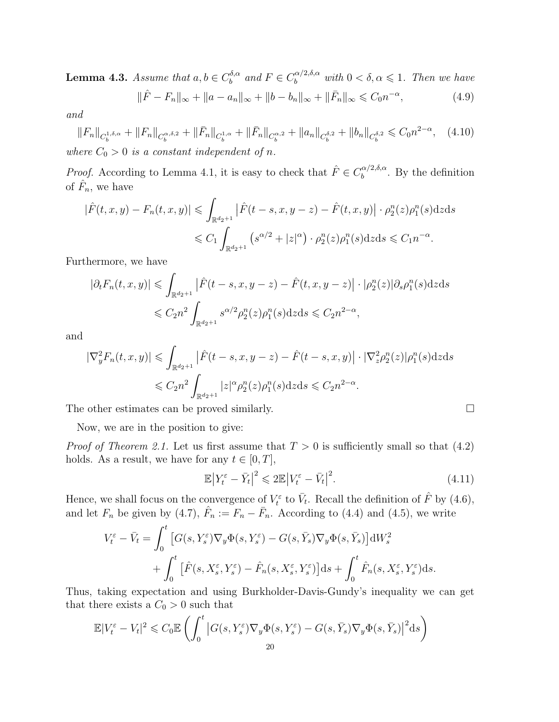**Lemma 4.3.** Assume that  $a, b \in C_b^{\delta, \alpha}$  $b_b^{\delta,\alpha}$  and  $F \in C_b^{\alpha/2,\delta,\alpha}$  with  $0 < \delta, \alpha \leqslant 1$ . Then we have  $\|\hat{F} - F_n\|_{\infty} + \|a - a_n\|_{\infty} + \|b - b_n\|_{\infty} + \|\bar{F}_n\|_{\infty} \leq C_0 n^{-\alpha}$  $(4.9)$ 

and

$$
||F_n||_{C_b^{1,\delta,\alpha}} + ||F_n||_{C_b^{\alpha,\delta,2}} + ||\bar{F}_n||_{C_b^{1,\alpha}} + ||\bar{F}_n||_{C_b^{\alpha,2}} + ||a_n||_{C_b^{\delta,2}} + ||b_n||_{C_b^{\delta,2}} \le C_0 n^{2-\alpha}, \quad (4.10)
$$
  
where  $C_0 > 0$  is a constant independent of n.

*Proof.* According to Lemma 4.1, it is easy to check that  $\hat{F} \in C_b^{\alpha/2,\delta,\alpha}$  $b^{(\alpha/2,0,\alpha)}$ . By the definition of  $\hat{F}_n$ , we have

$$
|\hat{F}(t,x,y) - F_n(t,x,y)| \leq \int_{\mathbb{R}^{d_2+1}} |\hat{F}(t-s,x,y-z) - \hat{F}(t,x,y)| \cdot \rho_2^n(z)\rho_1^n(s) dz ds
$$
  

$$
\leq C_1 \int_{\mathbb{R}^{d_2+1}} (s^{\alpha/2} + |z|^{\alpha}) \cdot \rho_2^n(z)\rho_1^n(s) dz ds \leq C_1 n^{-\alpha}.
$$

Furthermore, we have

$$
|\partial_t F_n(t, x, y)| \leq \int_{\mathbb{R}^{d_2+1}} |\hat{F}(t - s, x, y - z) - \hat{F}(t, x, y - z)| \cdot |\rho_2^n(z)| \partial_s \rho_1^n(s) dz ds
$$
  

$$
\leq C_2 n^2 \int_{\mathbb{R}^{d_2+1}} s^{\alpha/2} \rho_2^n(z) \rho_1^n(s) dz ds \leq C_2 n^{2-\alpha},
$$

and

$$
\begin{aligned} |\nabla_y^2 F_n(t, x, y)| &\leq \int_{\mathbb{R}^{d_2+1}} \left| \hat{F}(t - s, x, y - z) - \hat{F}(t - s, x, y) \right| \cdot |\nabla_z^2 \rho_2^n(z)| \rho_1^n(s) \, \mathrm{d}z \, \mathrm{d}s \\ &\leq C_2 n^2 \int_{\mathbb{R}^{d_2+1}} |z|^\alpha \rho_2^n(z) \rho_1^n(s) \, \mathrm{d}z \, \mathrm{d}s \leq C_2 n^{2-\alpha} . \end{aligned}
$$

The other estimates can be proved similarly.  $\Box$ 

Now, we are in the position to give:

*Proof of Theorem 2.1.* Let us first assume that  $T > 0$  is sufficiently small so that  $(4.2)$ holds. As a result, we have for any  $t \in [0, T]$ ,

$$
\mathbb{E}\left|Y_t^{\varepsilon} - \bar{Y}_t\right|^2 \leq 2\mathbb{E}\left|V_t^{\varepsilon} - \bar{V}_t\right|^2. \tag{4.11}
$$

Hence, we shall focus on the convergence of  $V_t^{\varepsilon}$  to  $\bar{V}_t$ . Recall the definition of  $\hat{F}$  by (4.6), and let  $F_n$  be given by (4.7),  $\hat{F}_n := F_n - \bar{F}_n$ . According to (4.4) and (4.5), we write

$$
V_t^{\varepsilon} - \bar{V}_t = \int_0^t \left[ G(s, Y_s^{\varepsilon}) \nabla_y \Phi(s, Y_s^{\varepsilon}) - G(s, \bar{Y}_s) \nabla_y \Phi(s, \bar{Y}_s) \right] dW_s^2 + \int_0^t \left[ \hat{F}(s, X_s^{\varepsilon}, Y_s^{\varepsilon}) - \hat{F}_n(s, X_s^{\varepsilon}, Y_s^{\varepsilon}) \right] ds + \int_0^t \hat{F}_n(s, X_s^{\varepsilon}, Y_s^{\varepsilon}) ds.
$$

Thus, taking expectation and using Burkholder-Davis-Gundy's inequality we can get that there exists a  $C_0 > 0$  such that

$$
\mathbb{E}|V_t^{\varepsilon} - V_t|^2 \leqslant C_0 \mathbb{E}\left(\int_0^t \left|G(s, Y_s^{\varepsilon}) \nabla_y \Phi(s, Y_s^{\varepsilon}) - G(s, \bar{Y}_s) \nabla_y \Phi(s, \bar{Y}_s)\right|^2 ds\right)
$$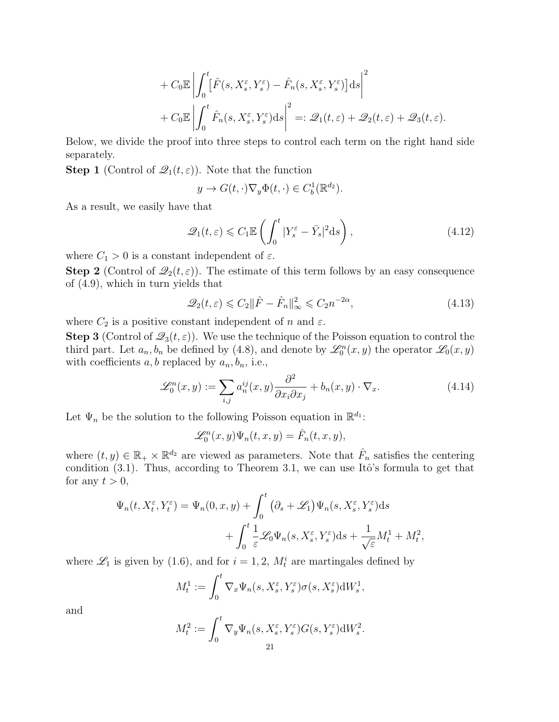$$
+ C_0 \mathbb{E} \left| \int_0^t \left[ \hat{F}(s, X_s^{\varepsilon}, Y_s^{\varepsilon}) - \hat{F}_n(s, X_s^{\varepsilon}, Y_s^{\varepsilon}) \right] ds \right|^2
$$
  
+ 
$$
C_0 \mathbb{E} \left| \int_0^t \hat{F}_n(s, X_s^{\varepsilon}, Y_s^{\varepsilon}) ds \right|^2 =: \mathcal{Q}_1(t, \varepsilon) + \mathcal{Q}_2(t, \varepsilon) + \mathcal{Q}_3(t, \varepsilon).
$$

Below, we divide the proof into three steps to control each term on the right hand side separately.

**Step 1** (Control of  $\mathcal{Q}_1(t,\varepsilon)$ ). Note that the function

$$
y \to G(t, \cdot) \nabla_y \Phi(t, \cdot) \in C_b^1(\mathbb{R}^{d_2}).
$$

As a result, we easily have that

$$
\mathcal{Q}_1(t,\varepsilon) \leqslant C_1 \mathbb{E}\left(\int_0^t |Y_s^{\varepsilon} - \bar{Y}_s|^2 \mathrm{d}s\right),\tag{4.12}
$$

where  $C_1 > 0$  is a constant independent of  $\varepsilon$ .

**Step 2** (Control of  $\mathcal{Q}_2(t,\varepsilon)$ ). The estimate of this term follows by an easy consequence of (4.9), which in turn yields that

$$
\mathcal{Q}_2(t,\varepsilon) \leqslant C_2 \|\hat{F} - \hat{F}_n\|_{\infty}^2 \leqslant C_2 n^{-2\alpha},\tag{4.13}
$$

where  $C_2$  is a positive constant independent of n and  $\varepsilon$ .

**Step 3** (Control of  $\mathcal{Q}_3(t, \varepsilon)$ ). We use the technique of the Poisson equation to control the third part. Let  $a_n, b_n$  be defined by (4.8), and denote by  $\mathscr{L}_0^n(x, y)$  the operator  $\mathscr{L}_0(x, y)$ with coefficients  $a, b$  replaced by  $a_n, b_n$ , i.e.,

$$
\mathcal{L}_0^n(x, y) := \sum_{i,j} a_n^{ij}(x, y) \frac{\partial^2}{\partial x_i \partial x_j} + b_n(x, y) \cdot \nabla_x.
$$
 (4.14)

Let  $\Psi_n$  be the solution to the following Poisson equation in  $\mathbb{R}^{d_1}$ :

$$
\mathscr{L}_0^n(x,y)\Psi_n(t,x,y)=\hat{F}_n(t,x,y),
$$

where  $(t, y) \in \mathbb{R}_+ \times \mathbb{R}^{d_2}$  are viewed as parameters. Note that  $\hat{F}_n$  satisfies the centering condition  $(3.1)$ . Thus, according to Theorem 3.1, we can use Itô's formula to get that for any  $t > 0$ ,

$$
\Psi_n(t, X_t^{\varepsilon}, Y_t^{\varepsilon}) = \Psi_n(0, x, y) + \int_0^t \left( \partial_s + \mathcal{L}_1 \right) \Psi_n(s, X_s^{\varepsilon}, Y_s^{\varepsilon}) ds \n+ \int_0^t \frac{1}{\varepsilon} \mathcal{L}_0 \Psi_n(s, X_s^{\varepsilon}, Y_s^{\varepsilon}) ds + \frac{1}{\sqrt{\varepsilon}} M_t^1 + M_t^2,
$$

where  $\mathcal{L}_1$  is given by (1.6), and for  $i = 1, 2, M_t^i$  are martingales defined by

$$
M_t^1 := \int_0^t \nabla_x \Psi_n(s, X_s^{\varepsilon}, Y_s^{\varepsilon}) \sigma(s, X_s^{\varepsilon}) dW_s^1,
$$

and

$$
M_t^2 := \int_0^t \nabla_y \Psi_n(s, X_s^{\varepsilon}, Y_s^{\varepsilon}) G(s, Y_s^{\varepsilon}) \mathrm{d}W_s^2.
$$
  
21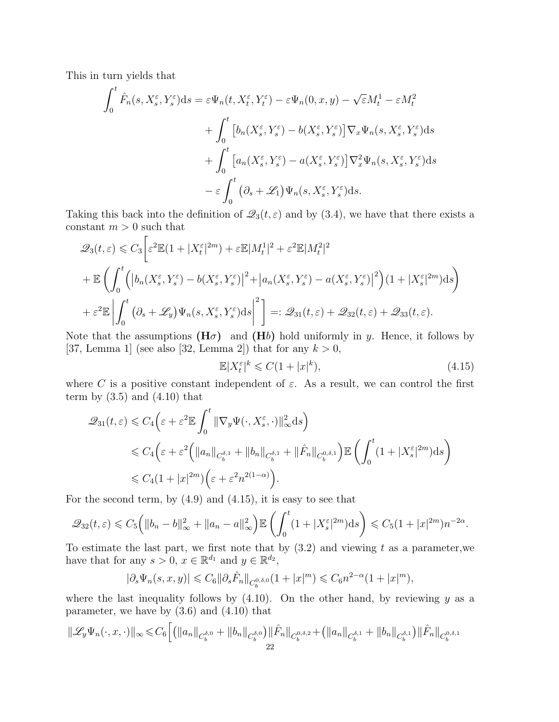This in turn yields that

$$
\int_{0}^{t} \hat{F}_{n}(s, X_{s}^{\varepsilon}, Y_{s}^{\varepsilon})ds = \varepsilon \Psi_{n}(t, X_{t}^{\varepsilon}, Y_{t}^{\varepsilon}) - \varepsilon \Psi_{n}(0, x, y) - \sqrt{\varepsilon}M_{t}^{1} - \varepsilon M_{t}^{2} \n+ \int_{0}^{t} \left[ b_{n}(X_{s}^{\varepsilon}, Y_{s}^{\varepsilon}) - b(X_{s}^{\varepsilon}, Y_{s}^{\varepsilon}) \right] \nabla_{x} \Psi_{n}(s, X_{s}^{\varepsilon}, Y_{s}^{\varepsilon})ds \n+ \int_{0}^{t} \left[ a_{n}(X_{s}^{\varepsilon}, Y_{s}^{\varepsilon}) - a(X_{s}^{\varepsilon}, Y_{s}^{\varepsilon}) \right] \nabla_{x}^{2} \Psi_{n}(s, X_{s}^{\varepsilon}, Y_{s}^{\varepsilon})ds \n- \varepsilon \int_{0}^{t} (\partial_{s} + \mathscr{L}_{1}) \Psi_{n}(s, X_{s}^{\varepsilon}, Y_{s}^{\varepsilon})ds.
$$

Taking this back into the definition of  $\mathcal{Q}_3(t,\varepsilon)$  and by (3.4), we have that there exists a constant  $m > 0$  such that

$$
\mathcal{Q}_3(t,\varepsilon) \leq C_3 \bigg[ \varepsilon^2 \mathbb{E} (1+|X_t^{\varepsilon}|^{2m}) + \varepsilon \mathbb{E} |M_t^1|^2 + \varepsilon^2 \mathbb{E} |M_t^2|^2
$$
  
+ 
$$
\mathbb{E} \bigg( \int_0^t \Big( \big| b_n(X_s^{\varepsilon}, Y_s^{\varepsilon}) - b(X_s^{\varepsilon}, Y_s^{\varepsilon}) \big|^2 + \big| a_n(X_s^{\varepsilon}, Y_s^{\varepsilon}) - a(X_s^{\varepsilon}, Y_s^{\varepsilon}) \big|^2 \Big) (1+|X_s^{\varepsilon}|^{2m}) ds \bigg)
$$
  
+ 
$$
\varepsilon^2 \mathbb{E} \bigg| \int_0^t \big( \partial_s + \mathcal{L}_y \big) \Psi_n(s, X_s^{\varepsilon}, Y_s^{\varepsilon}) ds \bigg|^2 \bigg] =: \mathcal{Q}_{31}(t,\varepsilon) + \mathcal{Q}_{32}(t,\varepsilon) + \mathcal{Q}_{33}(t,\varepsilon).
$$

Note that the assumptions  $(H\sigma)$  and  $(Hb)$  hold uniformly in y. Hence, it follows by [37, Lemma 1] (see also [32, Lemma 2]) that for any  $k > 0$ ,

$$
\mathbb{E}|X_t^{\varepsilon}|^k \leqslant C(1+|x|^k),\tag{4.15}
$$

where C is a positive constant independent of  $\varepsilon$ . As a result, we can control the first term by  $(3.5)$  and  $(4.10)$  that

$$
\mathcal{Q}_{31}(t,\varepsilon) \leq C_4 \Big( \varepsilon + \varepsilon^2 \mathbb{E} \int_0^t \|\nabla_y \Psi(\cdot, X_s^{\varepsilon}, \cdot)\|_{\infty}^2 ds \Big)
$$
  
\$\leq C\_4 \Big( \varepsilon + \varepsilon^2 \Big( \|a\_n\|\_{C\_b^{\delta,1}} + \|b\_n\|\_{C\_b^{\delta,1}} + \|\hat{F}\_n\|\_{C\_b^{0,\delta,1}} \Big) \mathbb{E} \Big( \int\_0^t (1 + |X\_s^{\varepsilon}|^{2m}) ds \Big) \$  
\$\leq C\_4 (1 + |x|^{2m}) \Big( \varepsilon + \varepsilon^2 n^{2(1-\alpha)} \Big).

For the second term, by  $(4.9)$  and  $(4.15)$ , it is easy to see that

$$
\mathcal{Q}_{32}(t,\varepsilon) \leqslant C_5 \left( \|b_n - b\|_{\infty}^2 + \|a_n - a\|_{\infty}^2 \right) \mathbb{E} \left( \int_0^t (1 + |X_s^{\varepsilon}|^{2m}) ds \right) \leqslant C_5 (1 + |x|^{2m}) n^{-2\alpha}.
$$

To estimate the last part, we first note that by  $(3.2)$  and viewing t as a parameter, we have that for any  $s > 0$ ,  $x \in \mathbb{R}^{d_1}$  and  $y \in \mathbb{R}^{d_2}$ ,

$$
|\partial_s \Psi_n(s, x, y)| \leq C_6 \|\partial_s \hat{F}_n\|_{C_b^{0, \delta, 0}} (1 + |x|^m) \leq C_6 n^{2-\alpha} (1 + |x|^m),
$$

where the last inequality follows by  $(4.10)$ . On the other hand, by reviewing y as a parameter, we have by (3.6) and (4.10) that

$$
\|\mathscr{L}_y \Psi_n(\cdot, x, \cdot)\|_{\infty} \leq C_6 \Big[ \big( \|a_n\|_{C_b^{\delta, 0}} + \|b_n\|_{C_b^{\delta, 0}} \big) \|\hat{F}_n\|_{C_b^{0, \delta, 2}} + \big( \|a_n\|_{C_b^{\delta, 1}} + \|b_n\|_{C_b^{\delta, 1}} \big) \|\hat{F}_n\|_{C_b^{0, \delta, 1}}
$$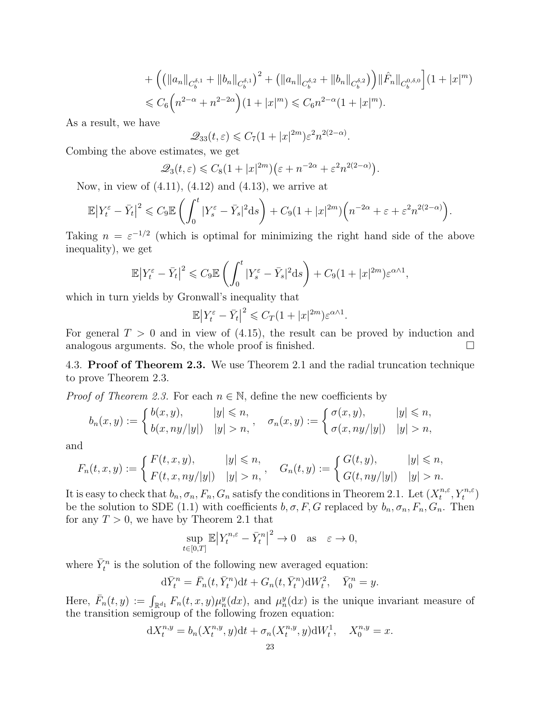+ 
$$
\left( \left( \|a_n\|_{C_b^{\delta,1}} + \|b_n\|_{C_b^{\delta,1}} \right)^2 + \left( \|a_n\|_{C_b^{\delta,2}} + \|b_n\|_{C_b^{\delta,2}} \right) \right) \|\hat{F}_n\|_{C_b^{0,\delta,0}} \right] (1 + |x|^m)
$$
  
\n $\leq C_6 \left( n^{2-\alpha} + n^{2-2\alpha} \right) (1 + |x|^m) \leq C_6 n^{2-\alpha} (1 + |x|^m).$ 

As a result, we have

$$
\mathcal{Q}_{33}(t,\varepsilon) \leqslant C_7(1+|x|^{2m})\varepsilon^2 n^{2(2-\alpha)}.
$$

Combing the above estimates, we get

$$
\mathcal{Q}_3(t,\varepsilon) \leq C_8(1+|x|^{2m})\big(\varepsilon+n^{-2\alpha}+\varepsilon^2n^{2(2-\alpha)}\big).
$$

Now, in view of  $(4.11)$ ,  $(4.12)$  and  $(4.13)$ , we arrive at

$$
\mathbb{E}\big|Y_t^{\varepsilon}-\bar{Y}_t\big|^2\leqslant C_9\mathbb{E}\bigg(\int_0^t|Y_s^{\varepsilon}-\bar{Y}_s|^2\mathrm{d} s\bigg)+C_9(1+|x|^{2m})\Big(n^{-2\alpha}+\varepsilon+\varepsilon^2n^{2(2-\alpha)}\Big).
$$

Taking  $n = \varepsilon^{-1/2}$  (which is optimal for minimizing the right hand side of the above inequality), we get

$$
\mathbb{E}\left|Y_t^{\varepsilon} - \bar{Y}_t\right|^2 \leqslant C_9 \mathbb{E}\left(\int_0^t |Y_s^{\varepsilon} - \bar{Y}_s|^2 \mathrm{d}s\right) + C_9 (1+|x|^{2m})\varepsilon^{\alpha \wedge 1},
$$

which in turn yields by Gronwall's inequality that

$$
\mathbb{E}\big|Y_t^{\varepsilon}-\bar{Y}_t\big|^2\leqslant C_T(1+|x|^{2m})\varepsilon^{\alpha\wedge 1}.
$$

For general  $T > 0$  and in view of (4.15), the result can be proved by induction and analogous arguments. So, the whole proof is finished.  $\square$ 

4.3. Proof of Theorem 2.3. We use Theorem 2.1 and the radial truncation technique to prove Theorem 2.3.

*Proof of Theorem 2.3.* For each  $n \in \mathbb{N}$ , define the new coefficients by

$$
b_n(x,y) := \begin{cases} b(x,y), & |y| \leq n, \\ b(x,ny/|y|) & |y| > n, \end{cases}, \quad \sigma_n(x,y) := \begin{cases} \sigma(x,y), & |y| \leq n, \\ \sigma(x,ny/|y|) & |y| > n, \end{cases}
$$

and

$$
F_n(t, x, y) := \begin{cases} F(t, x, y), & |y| \le n, \\ F(t, x, ny/|y|) & |y| > n, \end{cases}, \quad G_n(t, y) := \begin{cases} G(t, y), & |y| \le n, \\ G(t, ny/|y|) & |y| > n. \end{cases}
$$

It is easy to check that  $b_n, \sigma_n, F_n, G_n$  satisfy the conditions in Theorem 2.1. Let  $(X_t^{n,\varepsilon})$  $_{t}^{n,\varepsilon},Y_{t}^{n,\varepsilon})$ be the solution to SDE (1.1) with coefficients  $b, \sigma, F, G$  replaced by  $b_n, \sigma_n, F_n, G_n$ . Then for any  $T > 0$ , we have by Theorem 2.1 that

$$
\sup_{t\in[0,T]}\mathbb{E}\big|Y^{n,\varepsilon}_t-\bar{Y}^n_t\big|^2\to0\quad\text{as}\quad\varepsilon\to0,
$$

where  $\bar{Y}_t^n$  is the solution of the following new averaged equation:

$$
d\bar{Y}_t^n = \bar{F}_n(t, \bar{Y}_t^n)dt + G_n(t, \bar{Y}_t^n)dW_t^2, \quad \bar{Y}_0^n = y.
$$

Here,  $\bar{F}_n(t, y) := \int_{\mathbb{R}^{d_1}} F_n(t, x, y) \mu_n^y(dx)$ , and  $\mu_n^y(dx)$  is the unique invariant measure of the transition semigroup of the following frozen equation:

$$
dX_t^{n,y} = b_n(X_t^{n,y}, y)dt + \sigma_n(X_t^{n,y}, y)dW_t^1, \quad X_0^{n,y} = x.
$$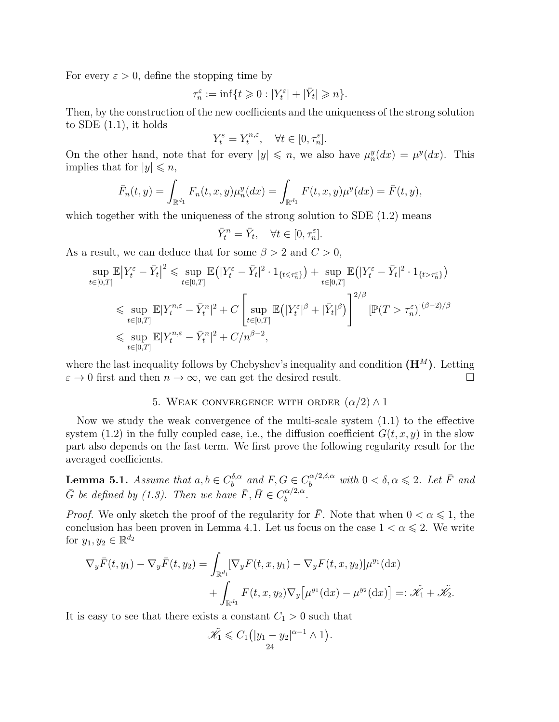For every  $\varepsilon > 0$ , define the stopping time by

$$
\tau_n^\varepsilon:=\inf\{t\geqslant 0: |Y_t^\varepsilon|+|\bar Y_t|\geqslant n\}.
$$

Then, by the construction of the new coefficients and the uniqueness of the strong solution to SDE  $(1.1)$ , it holds

$$
Y_t^{\varepsilon} = Y_t^{n,\varepsilon}, \quad \forall t \in [0, \tau_n^{\varepsilon}].
$$

On the other hand, note that for every  $|y| \leq n$ , we also have  $\mu_n^y(dx) = \mu^y(dx)$ . This implies that for  $|y| \leq n$ ,

$$
\bar{F}_n(t,y) = \int_{\mathbb{R}^{d_1}} F_n(t,x,y) \mu_n^y(dx) = \int_{\mathbb{R}^{d_1}} F(t,x,y) \mu^y(dx) = \bar{F}(t,y),
$$

which together with the uniqueness of the strong solution to  $SDE(1.2)$  means

$$
\bar{Y}_t^n = \bar{Y}_t, \quad \forall t \in [0, \tau_n^{\varepsilon}].
$$

As a result, we can deduce that for some  $\beta > 2$  and  $C > 0$ ,

$$
\sup_{t \in [0,T]} \mathbb{E} \left| Y_t^{\varepsilon} - \bar{Y}_t \right|^2 \leq \sup_{t \in [0,T]} \mathbb{E} \left( |Y_t^{\varepsilon} - \bar{Y}_t|^2 \cdot 1_{\{t \leq \tau_n^{\varepsilon}\}} \right) + \sup_{t \in [0,T]} \mathbb{E} \left( |Y_t^{\varepsilon} - \bar{Y}_t|^2 \cdot 1_{\{t > \tau_n^{\varepsilon}\}} \right)
$$
\n
$$
\leq \sup_{t \in [0,T]} \mathbb{E} |Y_t^{n,\varepsilon} - \bar{Y}_t^{n}|^2 + C \left[ \sup_{t \in [0,T]} \mathbb{E} \left( |Y_t^{\varepsilon}|^{\beta} + |\bar{Y}_t|^{\beta} \right) \right]^{2/\beta} \left[ \mathbb{P}(T > \tau_n^{\varepsilon}) \right]^{(\beta - 2)/\beta}
$$
\n
$$
\leq \sup_{t \in [0,T]} \mathbb{E} |Y_t^{n,\varepsilon} - \bar{Y}_t^{n}|^2 + C/n^{\beta - 2},
$$

where the last inequality follows by Chebyshev's inequality and condition  $(H^M)$ . Letting  $\varepsilon \to 0$  first and then  $n \to \infty$ , we can get the desired result.

### 5. WEAK CONVERGENCE WITH ORDER  $(\alpha/2) \wedge 1$

Now we study the weak convergence of the multi-scale system (1.1) to the effective system  $(1.2)$  in the fully coupled case, i.e., the diffusion coefficient  $G(t, x, y)$  in the slow part also depends on the fast term. We first prove the following regularity result for the averaged coefficients.

**Lemma 5.1.** Assume that  $a, b \in C_b^{\delta, \alpha}$  $b_b^{\delta,\alpha}$  and  $F, G \in C_b^{\alpha/2,\delta,\alpha}$  with  $0 < \delta, \alpha \leqslant 2$ . Let  $\overline{F}$  and  $\bar{G}$  be defined by (1.3). Then we have  $\bar{F}, \bar{H} \in C_b^{\alpha/2,\alpha}$  $\frac{\alpha}{b}$ .

*Proof.* We only sketch the proof of the regularity for  $\overline{F}$ . Note that when  $0 < \alpha \leq 1$ , the conclusion has been proven in Lemma 4.1. Let us focus on the case  $1 < \alpha \leq 2$ . We write for  $y_1, y_2 \in \mathbb{R}^{d_2}$ 

$$
\nabla_y \bar{F}(t, y_1) - \nabla_y \bar{F}(t, y_2) = \int_{\mathbb{R}^{d_1}} [\nabla_y F(t, x, y_1) - \nabla_y F(t, x, y_2)] \mu^{y_1}(\mathrm{d}x) \n+ \int_{\mathbb{R}^{d_1}} F(t, x, y_2) \nabla_y \big[ \mu^{y_1}(\mathrm{d}x) - \mu^{y_2}(\mathrm{d}x) \big] =: \tilde{\mathscr{K}}_1 + \tilde{\mathscr{K}}_2.
$$

It is easy to see that there exists a constant  $C_1 > 0$  such that

$$
\tilde{\mathscr{K}}_1 \leqslant C_1 \Big( |y_1 - y_2|^{\alpha - 1} \wedge 1 \Big).
$$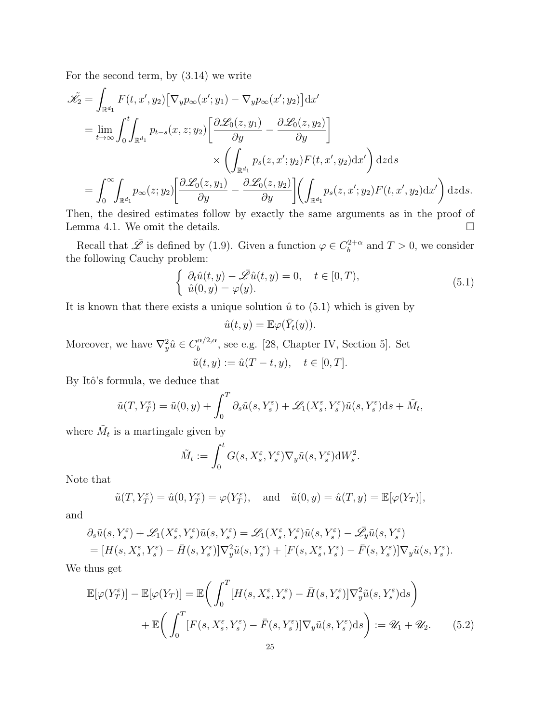For the second term, by (3.14) we write

$$
\tilde{\mathcal{K}}_2 = \int_{\mathbb{R}^{d_1}} F(t, x', y_2) \left[ \nabla_y p_{\infty}(x'; y_1) - \nabla_y p_{\infty}(x'; y_2) \right] dx'
$$
\n
$$
= \lim_{t \to \infty} \int_0^t \int_{\mathbb{R}^{d_1}} p_{t-s}(x, z; y_2) \left[ \frac{\partial \mathcal{L}_0(z, y_1)}{\partial y} - \frac{\partial \mathcal{L}_0(z, y_2)}{\partial y} \right]
$$
\n
$$
\times \left( \int_{\mathbb{R}^{d_1}} p_s(z, x'; y_2) F(t, x', y_2) dx' \right) dz ds
$$
\n
$$
= \int_0^\infty \int_{\mathbb{R}^{d_1}} p_{\infty}(z; y_2) \left[ \frac{\partial \mathcal{L}_0(z, y_1)}{\partial y} - \frac{\partial \mathcal{L}_0(z, y_2)}{\partial y} \right] \left( \int_{\mathbb{R}^{d_1}} p_s(z, x'; y_2) F(t, x', y_2) dx' \right) dz ds.
$$

Then, the desired estimates follow by exactly the same arguments as in the proof of Lemma 4.1. We omit the details.  $\Box$ 

Recall that  $\overline{\mathscr{L}}$  is defined by (1.9). Given a function  $\varphi \in C_b^{2+\alpha}$  $b^{2+\alpha}$  and  $T > 0$ , we consider the following Cauchy problem:

$$
\begin{cases}\n\partial_t \hat{u}(t, y) - \bar{\mathscr{L}} \hat{u}(t, y) = 0, \quad t \in [0, T), \\
\hat{u}(0, y) = \varphi(y).\n\end{cases}
$$
\n(5.1)

It is known that there exists a unique solution  $\hat{u}$  to (5.1) which is given by

$$
\hat{u}(t,y) = \mathbb{E}\varphi(\bar{Y}_t(y)).
$$

Moreover, we have  $\nabla_y^2 \hat{u} \in C_b^{\alpha/2,\alpha}$  $b_b^{\alpha/2,\alpha}$ , see e.g. [28, Chapter IV, Section 5]. Set  $\tilde{u}(t, y) := \hat{u}(T - t, y), \quad t \in [0, T].$ 

By Itô's formula, we deduce that

$$
\tilde{u}(T, Y_T^{\varepsilon}) = \tilde{u}(0, y) + \int_0^T \partial_s \tilde{u}(s, Y_s^{\varepsilon}) + \mathscr{L}_1(X_s^{\varepsilon}, Y_s^{\varepsilon}) \tilde{u}(s, Y_s^{\varepsilon}) ds + \tilde{M}_t,
$$

where  $\tilde{M}_t$  is a martingale given by

$$
\tilde{M}_t := \int_0^t G(s, X_s^{\varepsilon}, Y_s^{\varepsilon}) \nabla_y \tilde{u}(s, Y_s^{\varepsilon}) dW_s^2.
$$

Note that

$$
\tilde{u}(T, Y_T^{\varepsilon}) = \hat{u}(0, Y_T^{\varepsilon}) = \varphi(Y_T^{\varepsilon}), \text{ and } \tilde{u}(0, y) = \hat{u}(T, y) = \mathbb{E}[\varphi(Y_T)],
$$

and

$$
\begin{split} &\partial_s \tilde{u}(s,Y_s^\varepsilon)+\mathscr{L}_1(X_s^\varepsilon,Y_s^\varepsilon)\tilde{u}(s,Y_s^\varepsilon)=\mathscr{L}_1(X_s^\varepsilon,Y_s^\varepsilon)\tilde{u}(s,Y_s^\varepsilon)-\bar{\mathscr{L}}_y\tilde{u}(s,Y_s^\varepsilon)\\ &= [H(s,X_s^\varepsilon,Y_s^\varepsilon)-\bar{H}(s,Y_s^\varepsilon)]\nabla_y^2\tilde{u}(s,Y_s^\varepsilon)+[F(s,X_s^\varepsilon,Y_s^\varepsilon)-\bar{F}(s,Y_s^\varepsilon)]\nabla_y\tilde{u}(s,Y_s^\varepsilon). \end{split}
$$

We thus get

$$
\mathbb{E}[\varphi(Y_T^{\varepsilon})] - \mathbb{E}[\varphi(Y_T)] = \mathbb{E}\bigg(\int_0^T [H(s, X_s^{\varepsilon}, Y_s^{\varepsilon}) - \bar{H}(s, Y_s^{\varepsilon})] \nabla_y^2 \tilde{u}(s, Y_s^{\varepsilon}) ds\bigg) \n+ \mathbb{E}\bigg(\int_0^T [F(s, X_s^{\varepsilon}, Y_s^{\varepsilon}) - \bar{F}(s, Y_s^{\varepsilon})] \nabla_y \tilde{u}(s, Y_s^{\varepsilon}) ds\bigg) := \mathscr{U}_1 + \mathscr{U}_2.
$$
\n(5.2)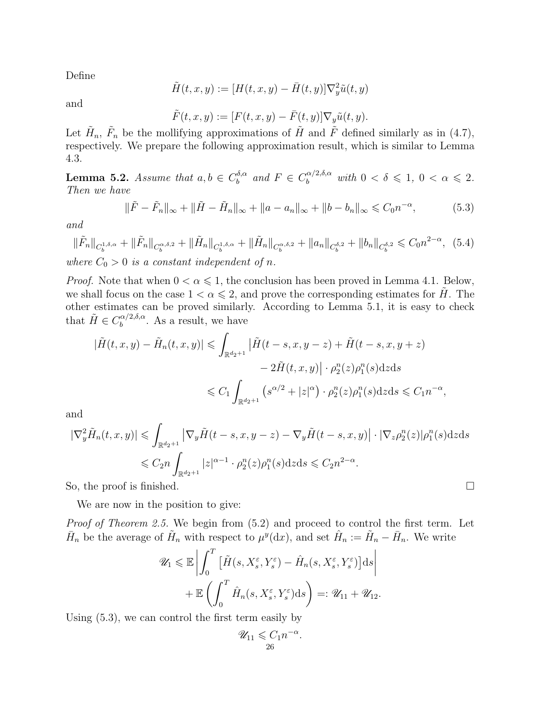Define

$$
\tilde{H}(t,x,y) := [H(t,x,y) - \bar{H}(t,y)]\nabla_y^2 \tilde{u}(t,y)
$$

and

$$
\tilde{F}(t, x, y) := [F(t, x, y) - \bar{F}(t, y)] \nabla_y \tilde{u}(t, y).
$$

Let  $\tilde{H}_n$ ,  $\tilde{F}_n$  be the mollifying approximations of  $\tilde{H}$  and  $\tilde{F}$  defined similarly as in (4.7), respectively. We prepare the following approximation result, which is similar to Lemma 4.3.

**Lemma 5.2.** Assume that  $a, b \in C_b^{\delta, \alpha}$  $b_b^{\delta,\alpha}$  and  $F \in C_b^{\alpha/2,\delta,\alpha}$  with  $0 < \delta \leqslant 1, 0 < \alpha \leqslant 2$ . Then we have

$$
\|\tilde{F} - \tilde{F}_n\|_{\infty} + \|\tilde{H} - \tilde{H}_n\|_{\infty} + \|a - a_n\|_{\infty} + \|b - b_n\|_{\infty} \leq C_0 n^{-\alpha},
$$
\n(5.3)

and

$$
\|\tilde{F}_n\|_{C_b^{1,\delta,\alpha}} + \|\tilde{F}_n\|_{C_b^{\alpha,\delta,2}} + \|\tilde{H}_n\|_{C_b^{1,\delta,\alpha}} + \|\tilde{H}_n\|_{C_b^{\alpha,\delta,2}} + \|a_n\|_{C_b^{\delta,2}} + \|b_n\|_{C_b^{\delta,2}} \leq C_0 n^{2-\alpha}, \tag{5.4}
$$

where  $C_0 > 0$  is a constant independent of n.

*Proof.* Note that when  $0 < \alpha \leq 1$ , the conclusion has been proved in Lemma 4.1. Below, we shall focus on the case  $1 < \alpha \leq 2$ , and prove the corresponding estimates for H. The other estimates can be proved similarly. According to Lemma 5.1, it is easy to check that  $\tilde{H} \in C_h^{\alpha/2,\delta,\alpha}$  $b_b^{\alpha/2,0,\alpha}$ . As a result, we have

$$
|\tilde{H}(t,x,y) - \tilde{H}_n(t,x,y)| \leq \int_{\mathbb{R}^{d_2+1}} |\tilde{H}(t-s,x,y-z) + \tilde{H}(t-s,x,y+z)|
$$
  

$$
- 2\tilde{H}(t,x,y)| \cdot \rho_2^n(z)\rho_1^n(s)dzds
$$
  

$$
\leq C_1 \int_{\mathbb{R}^{d_2+1}} (s^{\alpha/2} + |z|^{\alpha}) \cdot \rho_2^n(z)\rho_1^n(s)dzds \leq C_1 n^{-\alpha},
$$

and

$$
|\nabla_y^2 \tilde{H}_n(t, x, y)| \leq \int_{\mathbb{R}^{d_2+1}} |\nabla_y \tilde{H}(t - s, x, y - z) - \nabla_y \tilde{H}(t - s, x, y)| \cdot |\nabla_z \rho_2^n(z)| \rho_1^n(s) dz ds
$$
  

$$
\leq C_2 n \int_{\mathbb{R}^{d_2+1}} |z|^{\alpha-1} \cdot \rho_2^n(z) \rho_1^n(s) dz ds \leq C_2 n^{2-\alpha}.
$$

So, the proof is finished.  $\square$ 

We are now in the position to give:

Proof of Theorem 2.5. We begin from  $(5.2)$  and proceed to control the first term. Let  $\bar{H}_n$  be the average of  $\tilde{H}_n$  with respect to  $\mu^y(\mathrm{d}x)$ , and set  $\hat{H}_n := \tilde{H}_n - \bar{H}_n$ . We write

$$
\mathscr{U}_1 \leq \mathbb{E} \left| \int_0^T \left[ \tilde{H}(s, X_s^{\varepsilon}, Y_s^{\varepsilon}) - \hat{H}_n(s, X_s^{\varepsilon}, Y_s^{\varepsilon}) \right] ds \right|
$$
  
+ 
$$
\mathbb{E} \left( \int_0^T \hat{H}_n(s, X_s^{\varepsilon}, Y_s^{\varepsilon}) ds \right) =: \mathscr{U}_{11} + \mathscr{U}_{12}.
$$

Using (5.3), we can control the first term easily by

$$
\mathscr{U}_{11} \leqslant C_1 n^{-\alpha}
$$

.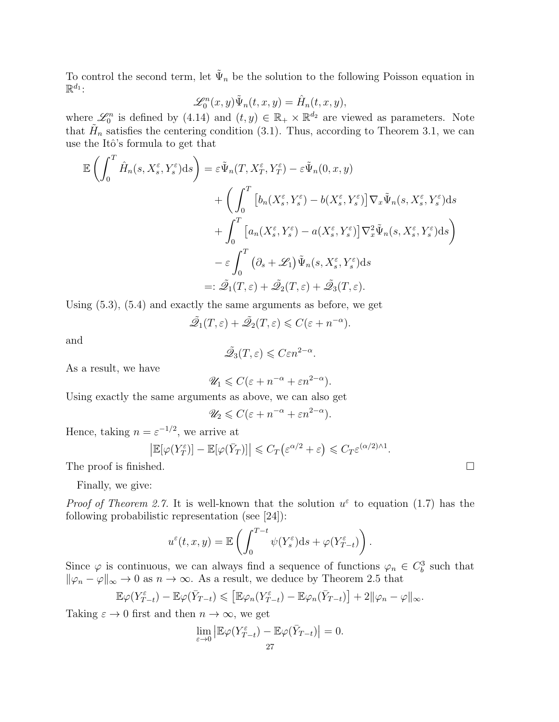To control the second term, let  $\tilde{\Psi}_n$  be the solution to the following Poisson equation in  $\mathbb{R}^{d_1}$ :

$$
\mathcal{L}_0^n(x, y)\tilde{\Psi}_n(t, x, y) = \hat{H}_n(t, x, y),
$$

where  $\mathscr{L}_0^n$  is defined by (4.14) and  $(t, y) \in \mathbb{R}_+ \times \mathbb{R}^{d_2}$  are viewed as parameters. Note that  $\tilde{H}_n$  satisfies the centering condition (3.1). Thus, according to Theorem 3.1, we can use the Itô's formula to get that

$$
\mathbb{E}\left(\int_{0}^{T}\hat{H}_{n}(s, X_{s}^{\varepsilon}, Y_{s}^{\varepsilon})ds\right) = \varepsilon \tilde{\Psi}_{n}(T, X_{T}^{\varepsilon}, Y_{T}^{\varepsilon}) - \varepsilon \tilde{\Psi}_{n}(0, x, y) \n+ \left(\int_{0}^{T}\left[b_{n}(X_{s}^{\varepsilon}, Y_{s}^{\varepsilon}) - b(X_{s}^{\varepsilon}, Y_{s}^{\varepsilon})\right] \nabla_{x} \tilde{\Psi}_{n}(s, X_{s}^{\varepsilon}, Y_{s}^{\varepsilon})ds \n+ \int_{0}^{T}\left[a_{n}(X_{s}^{\varepsilon}, Y_{s}^{\varepsilon}) - a(X_{s}^{\varepsilon}, Y_{s}^{\varepsilon})\right] \nabla_{x}^{2} \tilde{\Psi}_{n}(s, X_{s}^{\varepsilon}, Y_{s}^{\varepsilon})ds \n- \varepsilon \int_{0}^{T}\left(\partial_{s} + \mathscr{L}_{1}\right) \tilde{\Psi}_{n}(s, X_{s}^{\varepsilon}, Y_{s}^{\varepsilon})ds \n=:\tilde{\mathscr{Q}}_{1}(T, \varepsilon) + \tilde{\mathscr{Q}}_{2}(T, \varepsilon) + \tilde{\mathscr{Q}}_{3}(T, \varepsilon).
$$

Using (5.3), (5.4) and exactly the same arguments as before, we get

$$
\tilde{\mathscr{Q}}_1(T,\varepsilon) + \tilde{\mathscr{Q}}_2(T,\varepsilon) \leqslant C(\varepsilon + n^{-\alpha}).
$$

and

$$
\tilde{\mathcal{Q}}_3(T,\varepsilon) \leqslant C\varepsilon n^{2-\alpha}.
$$

As a result, we have

$$
\mathscr{U}_1\leqslant C(\varepsilon+n^{-\alpha}+\varepsilon n^{2-\alpha}).
$$

Using exactly the same arguments as above, we can also get

$$
\mathscr{U}_2 \leqslant C(\varepsilon + n^{-\alpha} + \varepsilon n^{2-\alpha}).
$$

Hence, taking  $n = \varepsilon^{-1/2}$ , we arrive at

$$
\left| \mathbb{E}[\varphi(Y_T^{\varepsilon})] - \mathbb{E}[\varphi(\bar{Y}_T)] \right| \leq C_T \left( \varepsilon^{\alpha/2} + \varepsilon \right) \leq C_T \varepsilon^{(\alpha/2) \wedge 1}.
$$

The proof is finished.  $\square$ 

Finally, we give:

*Proof of Theorem 2.7.* It is well-known that the solution  $u^{\varepsilon}$  to equation (1.7) has the following probabilistic representation (see [24]):

$$
u^{\varepsilon}(t,x,y) = \mathbb{E}\left(\int_0^{T-t} \psi(Y_s^{\varepsilon})ds + \varphi(Y_{T-t}^{\varepsilon})\right).
$$

Since  $\varphi$  is continuous, we can always find a sequence of functions  $\varphi_n \in C_b^3$  such that  $\|\varphi_n - \varphi\|_{\infty} \to 0$  as  $n \to \infty$ . As a result, we deduce by Theorem 2.5 that

$$
\mathbb{E}\varphi(Y_{T-t}^{\varepsilon})-\mathbb{E}\varphi(\bar{Y}_{T-t})\leqslant \left[\mathbb{E}\varphi_n(Y_{T-t}^{\varepsilon})-\mathbb{E}\varphi_n(\bar{Y}_{T-t})\right]+2\|\varphi_n-\varphi\|_{\infty}.
$$

Taking  $\varepsilon \to 0$  first and then  $n \to \infty$ , we get

$$
\lim_{\varepsilon \to 0} \left| \mathbb{E}\varphi(Y_{T-t}^{\varepsilon}) - \mathbb{E}\varphi(\bar{Y}_{T-t}) \right| = 0.
$$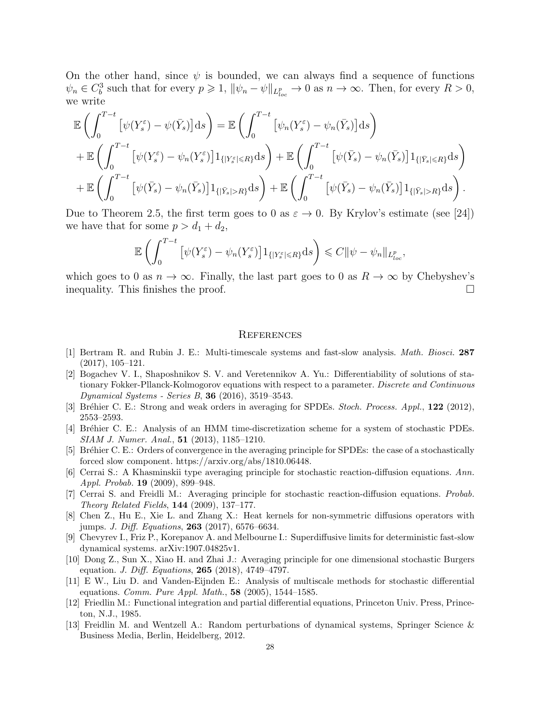On the other hand, since  $\psi$  is bounded, we can always find a sequence of functions  $\psi_n \in C_b^3$  such that for every  $p \geq 1$ ,  $\|\psi_n - \psi\|_{L^p_{loc}} \to 0$  as  $n \to \infty$ . Then, for every  $R > 0$ , we write

$$
\mathbb{E}\left(\int_{0}^{T-t}\left[\psi(Y_{s}^{\varepsilon})-\psi(\bar{Y}_{s})\right]ds\right) = \mathbb{E}\left(\int_{0}^{T-t}\left[\psi_{n}(Y_{s}^{\varepsilon})-\psi_{n}(\bar{Y}_{s})\right]ds\right) \n+ \mathbb{E}\left(\int_{0}^{T-t}\left[\psi(Y_{s}^{\varepsilon})-\psi_{n}(Y_{s}^{\varepsilon})\right]1_{\{|Y_{s}^{\varepsilon}| \leq R\}}ds\right) + \mathbb{E}\left(\int_{0}^{T-t}\left[\psi(\bar{Y}_{s})-\psi_{n}(\bar{Y}_{s})\right]1_{\{|Y_{s}| \leq R\}}ds\right) \n+ \mathbb{E}\left(\int_{0}^{T-t}\left[\psi(\bar{Y}_{s})-\psi_{n}(\bar{Y}_{s})\right]1_{\{|Y_{s}| > R\}}ds\right) + \mathbb{E}\left(\int_{0}^{T-t}\left[\psi(\bar{Y}_{s})-\psi_{n}(\bar{Y}_{s})\right]1_{\{|Y_{s}| > R\}}ds\right).
$$

Due to Theorem 2.5, the first term goes to 0 as  $\varepsilon \to 0$ . By Krylov's estimate (see [24]) we have that for some  $p > d_1 + d_2$ ,

$$
\mathbb{E}\left(\int_0^{T-t}\left[\psi(Y_s^{\varepsilon})-\psi_n(Y_s^{\varepsilon})\right]1_{\{|Y_s^{\varepsilon}| \le R\}}\mathrm{d} s\right) \le C\|\psi-\psi_n\|_{L^p_{loc}},
$$

which goes to 0 as  $n \to \infty$ . Finally, the last part goes to 0 as  $R \to \infty$  by Chebyshev's inequality. This finishes the proof.

#### **REFERENCES**

- [1] Bertram R. and Rubin J. E.: Multi-timescale systems and fast-slow analysis. Math. Biosci. 287 (2017), 105–121.
- [2] Bogachev V. I., Shaposhnikov S. V. and Veretennikov A. Yu.: Differentiability of solutions of stationary Fokker-Pllanck-Kolmogorov equations with respect to a parameter. Discrete and Continuous Dynamical Systems - Series B, 36 (2016), 3519–3543.
- [3] Bréhier C. E.: Strong and weak orders in averaging for SPDEs. Stoch. Process. Appl., 122 (2012), 2553–2593.
- [4] Br´ehier C. E.: Analysis of an HMM time-discretization scheme for a system of stochastic PDEs. SIAM J. Numer. Anal., 51 (2013), 1185–1210.
- [5] Bréhier C. E.: Orders of convergence in the averaging principle for SPDEs: the case of a stochastically forced slow component. https://arxiv.org/abs/1810.06448.
- [6] Cerrai S.: A Khasminskii type averaging principle for stochastic reaction-diffusion equations. Ann. Appl. Probab. 19 (2009), 899–948.
- [7] Cerrai S. and Freidli M.: Averaging principle for stochastic reaction-diffusion equations. Probab. Theory Related Fields, 144 (2009), 137–177.
- [8] Chen Z., Hu E., Xie L. and Zhang X.: Heat kernels for non-symmetric diffusions operators with jumps. J. Diff. Equations, 263 (2017), 6576–6634.
- [9] Chevyrev I., Friz P., Korepanov A. and Melbourne I.: Superdiffusive limits for deterministic fast-slow dynamical systems. arXiv:1907.04825v1.
- [10] Dong Z., Sun X., Xiao H. and Zhai J.: Averaging principle for one dimensional stochastic Burgers equation. *J. Diff. Equations*, **265** (2018), 4749-4797.
- [11] E W., Liu D. and Vanden-Eijnden E.: Analysis of multiscale methods for stochastic differential equations. *Comm. Pure Appl. Math.*,  $58$  (2005), 1544–1585.
- [12] Friedlin M.: Functional integration and partial differential equations, Princeton Univ. Press, Princeton, N.J., 1985.
- [13] Freidlin M. and Wentzell A.: Random perturbations of dynamical systems, Springer Science & Business Media, Berlin, Heidelberg, 2012.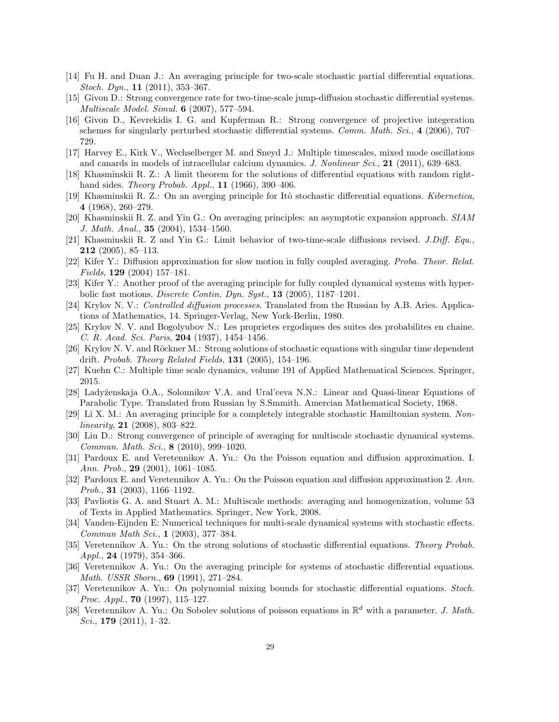- [14] Fu H. and Duan J.: An averaging principle for two-scale stochastic partial differential equations. Stoch. Dyn., 11 (2011), 353–367.
- [15] Givon D.: Strong convergence rate for two-time-scale jump-diffusion stochastic differential systems. Multiscale Model. Simul. 6 (2007), 577–594.
- [16] Givon D., Kevrekidis I. G. and Kupferman R.: Strong convergence of projective integeration schemes for singularly perturbed stochastic differential systems. Comm. Math. Sci., 4 (2006), 707– 729.
- [17] Harvey E., Kirk V., Wechselberger M. and Sneyd J.: Multiple timescales, mixed mode oscillations and canards in models of intracellular calcium dynamics. J. Nonlinear Sci., 21 (2011), 639–683.
- [18] Khasminskii R. Z.: A limit theorem for the solutions of differential equations with random righthand sides. Theory Probab.  $Appl., 11 (1966), 390-406.$
- [19] Khasminskii R. Z.: On an averging principle for Itô stochastic differential equations. Kibernetica, 4 (1968), 260–279.
- [20] Khasminskii R. Z. and Yin G.: On averaging principles: an asymptotic expansion approach. SIAM J. Math. Anal., 35 (2004), 1534–1560.
- [21] Khasminskii R. Z and Yin G.: Limit behavior of two-time-scale diffusions revised. J.Diff. Equ., 212 (2005), 85–113.
- [22] Kifer Y.: Diffusion approximation for slow motion in fully coupled averaging. Proba. Theor. Relat. Fields, 129 (2004) 157–181.
- [23] Kifer Y.: Another proof of the averaging principle for fully coupled dynamical systems with hyperbolic fast motions. *Discrete Contin. Dyn. Syst.*, **13** (2005),  $1187-1201$ .
- [24] Krylov N. V.: Controlled diffusion processes. Translated from the Russian by A.B. Aries. Applications of Mathematics, 14. Springer-Verlag, New York-Berlin, 1980.
- [25] Krylov N. V. and Bogolyubov N.: Les proprietes ergodiques des suites des probabilites en chaine. C. R. Acad. Sci. Paris, 204 (1937), 1454–1456.
- [26] Krylov N. V. and Röckner M.: Strong solutions of stochastic equations with singular time dependent drift. Probab. Theory Related Fields,  $131$  (2005), 154–196.
- [27] Kuehn C.: Multiple time scale dynamics, volume 191 of Applied Mathematical Sciences. Springer, 2015.
- [28] Lady˘zenskaja O.A., Solonnikov V.A. and Ural'ceva N.N.: Linear and Quasi-linear Equations of Parabolic Type. Translated from Russian by S.Smmith. Amercian Mathematical Society, 1968.
- [29] Li X. M.: An averaging principle for a completely integrable stochastic Hamiltonian system. Nonlinearity, 21  $(2008)$ , 803-822.
- [30] Liu D.: Strong convergence of principle of averaging for multiscale stochastic dynamical systems. Commun. Math. Sci., 8 (2010), 999–1020.
- [31] Pardoux E. and Veretennikov A. Yu.: On the Poisson equation and diffusion approximation. I. Ann. Prob.,  $29$  (2001), 1061–1085.
- [32] Pardoux E. and Veretennikov A. Yu.: On the Poisson equation and diffusion approximation 2. Ann. Prob., 31 (2003), 1166–1192.
- [33] Pavliotis G. A. and Stuart A. M.: Multiscale methods: averaging and homogenization, volume 53 of Texts in Applied Mathematics. Springer, New York, 2008.
- [34] Vanden-Eijnden E: Numerical techniques for multi-scale dynamical systems with stochastic effects. Commun Math Sci., 1 (2003), 377–384.
- [35] Veretennikov A. Yu.: On the strong solutions of stochastic differential equations. Theory Probab. Appl., 24 (1979), 354-366.
- [36] Veretennikov A. Yu.: On the averaging principle for systems of stochastic differential equations. Math. USSR Sborn., 69 (1991), 271–284.
- [37] Veretennikov A. Yu.: On polynomial mixing bounds for stochastic differential equations. Stoch. *Proc. Appl.*, **70** (1997), 115–127.
- [38] Veretennikov A. Yu.: On Sobolev solutions of poisson equations in  $\mathbb{R}^d$  with a parameter. J. Math. Sci.,  $179$  (2011), 1-32.